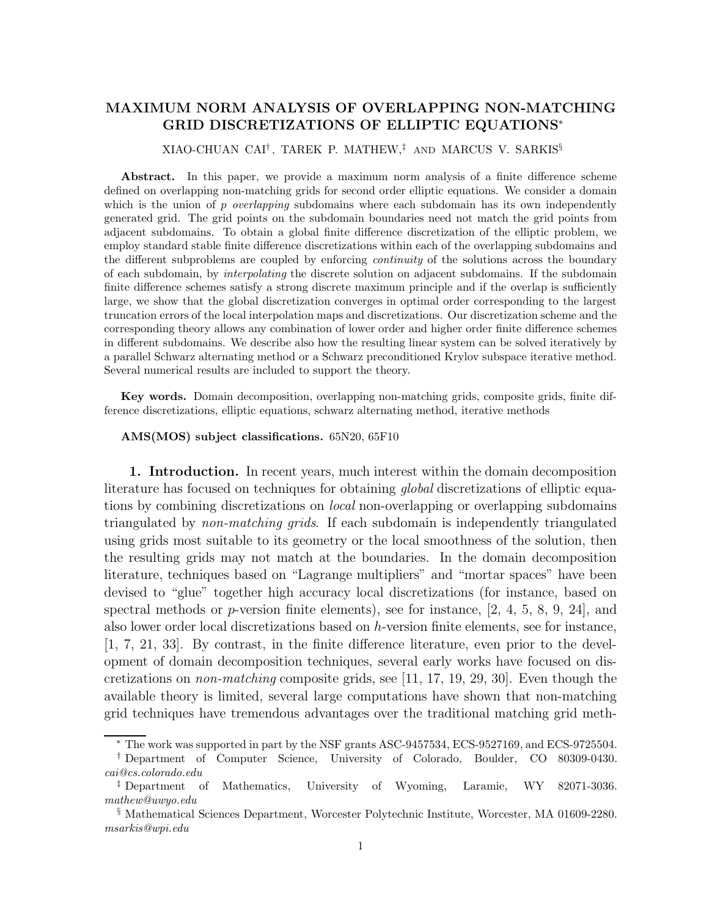# **MAXIMUM NORM ANALYSIS OF OVERLAPPING NON-MATCHING GRID DISCRETIZATIONS OF ELLIPTIC EQUATIONS**<sup>∗</sup>

## XIAO-CHUAN CAI† , TAREK P. MATHEW,‡ AND MARCUS V. SARKIS§

Abstract. In this paper, we provide a maximum norm analysis of a finite difference scheme defined on overlapping non-matching grids for second order elliptic equations. We consider a domain which is the union of  $p$  overlapping subdomains where each subdomain has its own independently generated grid. The grid points on the subdomain boundaries need not match the grid points from adjacent subdomains. To obtain a global finite difference discretization of the elliptic problem, we employ standard stable finite difference discretizations within each of the overlapping subdomains and the different subproblems are coupled by enforcing *continuity* of the solutions across the boundary of each subdomain, by *interpolating* the discrete solution on adjacent subdomains. If the subdomain finite difference schemes satisfy a strong discrete maximum principle and if the overlap is sufficiently large, we show that the global discretization converges in optimal order corresponding to the largest truncation errors of the local interpolation maps and discretizations. Our discretization scheme and the corresponding theory allows any combination of lower order and higher order finite difference schemes in different subdomains. We describe also how the resulting linear system can be solved iteratively by a parallel Schwarz alternating method or a Schwarz preconditioned Krylov subspace iterative method. Several numerical results are included to support the theory.

**Key words.** Domain decomposition, overlapping non-matching grids, composite grids, finite difference discretizations, elliptic equations, schwarz alternating method, iterative methods

### **AMS(MOS) subject classifications.** 65N20, 65F10

**1. Introduction.** In recent years, much interest within the domain decomposition literature has focused on techniques for obtaining global discretizations of elliptic equations by combining discretizations on *local* non-overlapping or overlapping subdomains triangulated by non-matching grids. If each subdomain is independently triangulated using grids most suitable to its geometry or the local smoothness of the solution, then the resulting grids may not match at the boundaries. In the domain decomposition literature, techniques based on "Lagrange multipliers" and "mortar spaces" have been devised to "glue" together high accuracy local discretizations (for instance, based on spectral methods or  $p$ -version finite elements), see for instance,  $[2, 4, 5, 8, 9, 24]$ , and also lower order local discretizations based on h-version finite elements, see for instance, [1, 7, 21, 33]. By contrast, in the finite difference literature, even prior to the development of domain decomposition techniques, several early works have focused on discretizations on *non-matching* composite grids, see  $[11, 17, 19, 29, 30]$ . Even though the available theory is limited, several large computations have shown that non-matching grid techniques have tremendous advantages over the traditional matching grid meth-

<sup>∗</sup> The work was supported in part by the NSF grants ASC-9457534, ECS-9527169, and ECS-9725504.

<sup>†</sup> Department of Computer Science, University of Colorado, Boulder, CO 80309-0430. cai@cs.colorado.edu

<sup>‡</sup> Department of Mathematics, University of Wyoming, Laramie, WY 82071-3036. mathew@uwyo.edu

<sup>§</sup> Mathematical Sciences Department, Worcester Polytechnic Institute, Worcester, MA 01609-2280. msarkis@wpi.edu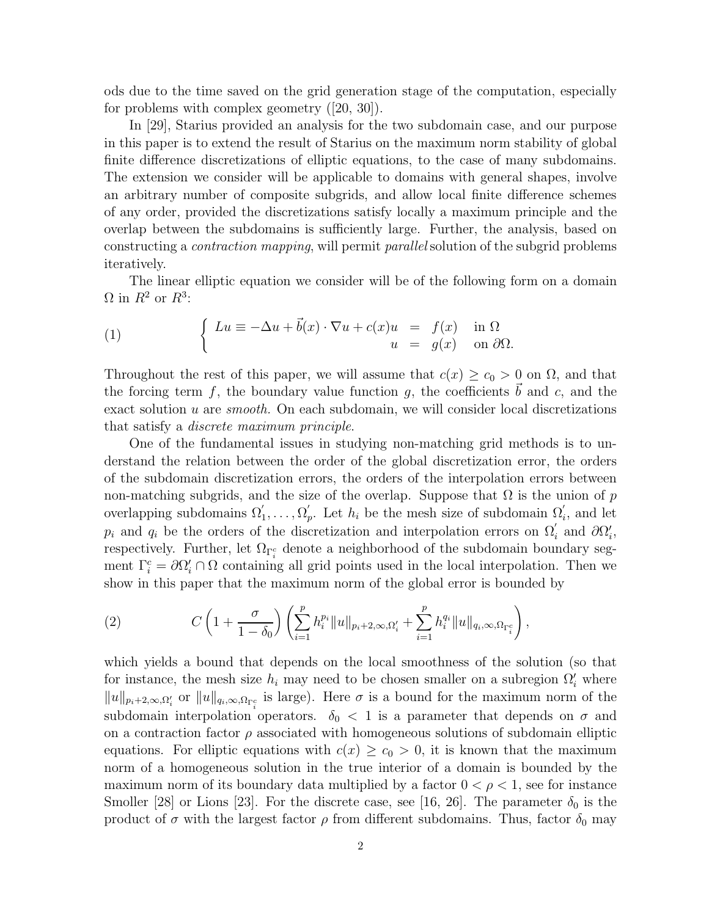ods due to the time saved on the grid generation stage of the computation, especially for problems with complex geometry ([20, 30]).

In [29], Starius provided an analysis for the two subdomain case, and our purpose in this paper is to extend the result of Starius on the maximum norm stability of global finite difference discretizations of elliptic equations, to the case of many subdomains. The extension we consider will be applicable to domains with general shapes, involve an arbitrary number of composite subgrids, and allow local finite difference schemes of any order, provided the discretizations satisfy locally a maximum principle and the overlap between the subdomains is sufficiently large. Further, the analysis, based on constructing a contraction mapping, will permit parallel solution of the subgrid problems iteratively.

The linear elliptic equation we consider will be of the following form on a domain  $\Omega$  in  $R^2$  or  $R^3$ :

(1) 
$$
\begin{cases} Lu \equiv -\Delta u + \vec{b}(x) \cdot \nabla u + c(x)u = f(x) & \text{in } \Omega \\ u = g(x) & \text{on } \partial \Omega. \end{cases}
$$

Throughout the rest of this paper, we will assume that  $c(x) \ge c_0 > 0$  on  $\Omega$ , and that the forcing term f, the boundary value function g, the coefficients  $\overline{b}$  and  $\overline{c}$ , and the exact solution  $u$  are *smooth*. On each subdomain, we will consider local discretizations that satisfy a discrete maximum principle.

One of the fundamental issues in studying non-matching grid methods is to understand the relation between the order of the global discretization error, the orders of the subdomain discretization errors, the orders of the interpolation errors between non-matching subgrids, and the size of the overlap. Suppose that  $\Omega$  is the union of p overlapping subdomains  $\Omega'_1, \ldots, \Omega'_p$ . Let  $h_i$  be the mesh size of subdomain  $\Omega'_i$ , and let  $p_i$  and  $q_i$  be the orders of the discretization and interpolation errors on  $\Omega'_i$  and  $\partial\Omega'_i$ , respectively. Further, let  $\Omega_{\Gamma_i^c}$  denote a neighborhood of the subdomain boundary segment  $\Gamma_i^c = \partial \Omega_i' \cap \Omega$  containing all grid points used in the local interpolation. Then we show in this paper that the maximum norm of the global error is bounded by

(2) 
$$
C\left(1+\frac{\sigma}{1-\delta_0}\right)\left(\sum_{i=1}^p h_i^{p_i} \|u\|_{p_i+2,\infty,\Omega'_i}+\sum_{i=1}^p h_i^{q_i} \|u\|_{q_i,\infty,\Omega_{\Gamma_i^c}}\right),
$$

which yields a bound that depends on the local smoothness of the solution (so that for instance, the mesh size  $h_i$  may need to be chosen smaller on a subregion  $\Omega'_i$  where  $||u||_{p_i+2,\infty,\Omega'_i}$  or  $||u||_{q_i,\infty,\Omega_{\Gamma_i^c}}$  is large). Here  $\sigma$  is a bound for the maximum norm of the subdomain interpolation operators.  $\delta_0$  < 1 is a parameter that depends on  $\sigma$  and on a contraction factor  $\rho$  associated with homogeneous solutions of subdomain elliptic equations. For elliptic equations with  $c(x) \geq c_0 > 0$ , it is known that the maximum norm of a homogeneous solution in the true interior of a domain is bounded by the maximum norm of its boundary data multiplied by a factor  $0 < \rho < 1$ , see for instance Smoller [28] or Lions [23]. For the discrete case, see [16, 26]. The parameter  $\delta_0$  is the product of  $\sigma$  with the largest factor  $\rho$  from different subdomains. Thus, factor  $\delta_0$  may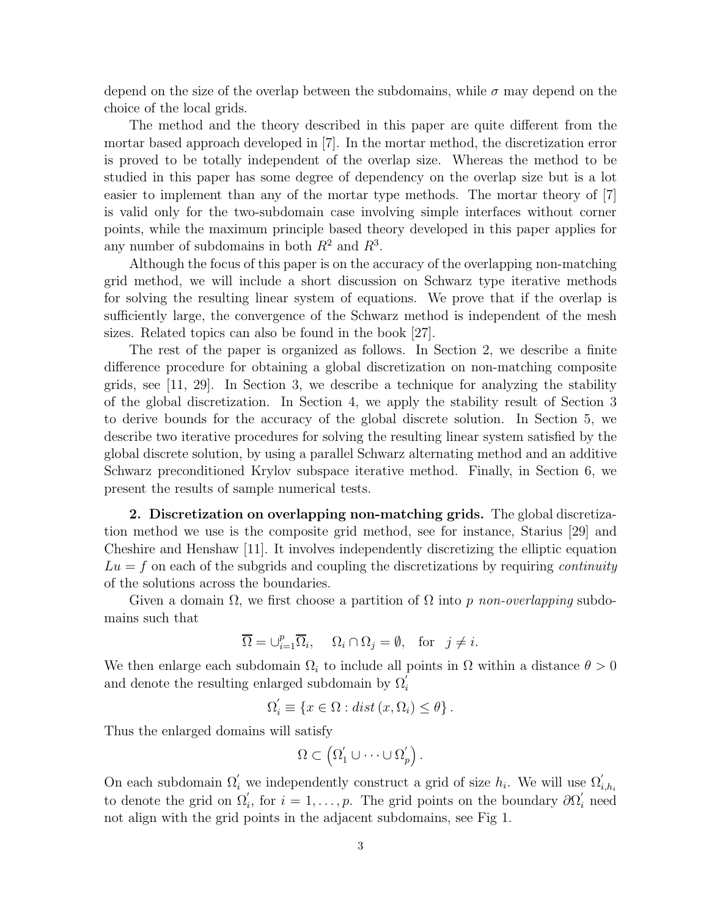depend on the size of the overlap between the subdomains, while  $\sigma$  may depend on the choice of the local grids.

The method and the theory described in this paper are quite different from the mortar based approach developed in [7]. In the mortar method, the discretization error is proved to be totally independent of the overlap size. Whereas the method to be studied in this paper has some degree of dependency on the overlap size but is a lot easier to implement than any of the mortar type methods. The mortar theory of [7] is valid only for the two-subdomain case involving simple interfaces without corner points, while the maximum principle based theory developed in this paper applies for any number of subdomains in both  $R^2$  and  $R^3$ .

Although the focus of this paper is on the accuracy of the overlapping non-matching grid method, we will include a short discussion on Schwarz type iterative methods for solving the resulting linear system of equations. We prove that if the overlap is sufficiently large, the convergence of the Schwarz method is independent of the mesh sizes. Related topics can also be found in the book [27].

The rest of the paper is organized as follows. In Section 2, we describe a finite difference procedure for obtaining a global discretization on non-matching composite grids, see [11, 29]. In Section 3, we describe a technique for analyzing the stability of the global discretization. In Section 4, we apply the stability result of Section 3 to derive bounds for the accuracy of the global discrete solution. In Section 5, we describe two iterative procedures for solving the resulting linear system satisfied by the global discrete solution, by using a parallel Schwarz alternating method and an additive Schwarz preconditioned Krylov subspace iterative method. Finally, in Section 6, we present the results of sample numerical tests.

**2. Discretization on overlapping non-matching grids.** The global discretization method we use is the composite grid method, see for instance, Starius [29] and Cheshire and Henshaw [11]. It involves independently discretizing the elliptic equation  $Lu = f$  on each of the subgrids and coupling the discretizations by requiring *continuity* of the solutions across the boundaries.

Given a domain  $\Omega$ , we first choose a partition of  $\Omega$  into p non-overlapping subdomains such that

$$
\overline{\Omega} = \cup_{i=1}^p \overline{\Omega}_i, \quad \Omega_i \cap \Omega_j = \emptyset, \text{ for } j \neq i.
$$

We then enlarge each subdomain  $\Omega_i$  to include all points in  $\Omega$  within a distance  $\theta > 0$ and denote the resulting enlarged subdomain by  $\Omega'_{i}$ 

$$
\Omega_i' \equiv \{ x \in \Omega : dist(x, \Omega_i) \le \theta \} .
$$

Thus the enlarged domains will satisfy

$$
\Omega \subset \left( \Omega_1' \cup \cdots \cup \Omega_p' \right).
$$

On each subdomain  $\Omega'_i$  we independently construct a grid of size  $h_i$ . We will use  $\Omega'_{i,h_i}$ to denote the grid on  $\Omega'_i$ , for  $i = 1, \ldots, p$ . The grid points on the boundary  $\partial \Omega'_i$  need not align with the grid points in the adjacent subdomains, see Fig 1.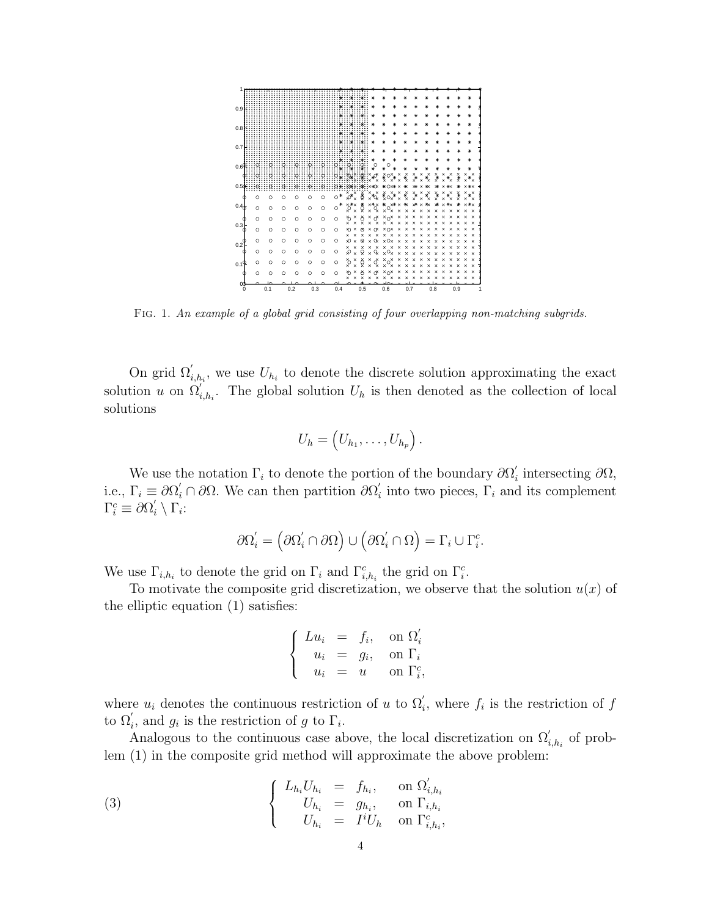

Fig. 1. An example of a global grid consisting of four overlapping non-matching subgrids.

On grid  $\Omega'_{i,h_i}$ , we use  $U_{h_i}$  to denote the discrete solution approximating the exact solution u on  $\Omega'_{i,h_i}$ . The global solution  $U_h$  is then denoted as the collection of local solutions

$$
U_h=\left(U_{h_1},\ldots,U_{h_p}\right).
$$

We use the notation  $\Gamma_i$  to denote the portion of the boundary  $\partial\Omega_i'$  intersecting  $\partial\Omega$ , i.e.,  $\Gamma_i \equiv \partial \Omega_i' \cap \partial \Omega$ . We can then partition  $\partial \Omega_i'$  into two pieces,  $\Gamma_i$  and its complement  $\Gamma_i^c \equiv \partial \Omega_i' \setminus \Gamma_i$ :

$$
\partial\Omega_i' = (\partial\Omega_i' \cap \partial\Omega) \cup (\partial\Omega_i' \cap \Omega) = \Gamma_i \cup \Gamma_i^c.
$$

We use  $\Gamma_{i,h_i}$  to denote the grid on  $\Gamma_i$  and  $\Gamma_{i,h_i}^c$  the grid on  $\Gamma_i^c$ .

To motivate the composite grid discretization, we observe that the solution  $u(x)$  of the elliptic equation (1) satisfies:

$$
\begin{cases}\nLu_i &= f_i, \quad \text{on } \Omega'_i \\
u_i &= g_i, \quad \text{on } \Gamma_i \\
u_i &= u \quad \text{on } \Gamma_i^c,\n\end{cases}
$$

where  $u_i$  denotes the continuous restriction of u to  $\Omega'_i$ , where  $f_i$  is the restriction of f to  $\Omega'_i$ , and  $g_i$  is the restriction of g to  $\Gamma_i$ .

Analogous to the continuous case above, the local discretization on  $\Omega'_{i,h_i}$  of problem (1) in the composite grid method will approximate the above problem:

(3) 
$$
\begin{cases} L_{h_i}U_{h_i} = f_{h_i}, & \text{on } \Omega'_{i,h_i} \\ U_{h_i} = g_{h_i}, & \text{on } \Gamma_{i,h_i} \\ U_{h_i} = I^i U_h & \text{on } \Gamma^c_{i,h_i}, \end{cases}
$$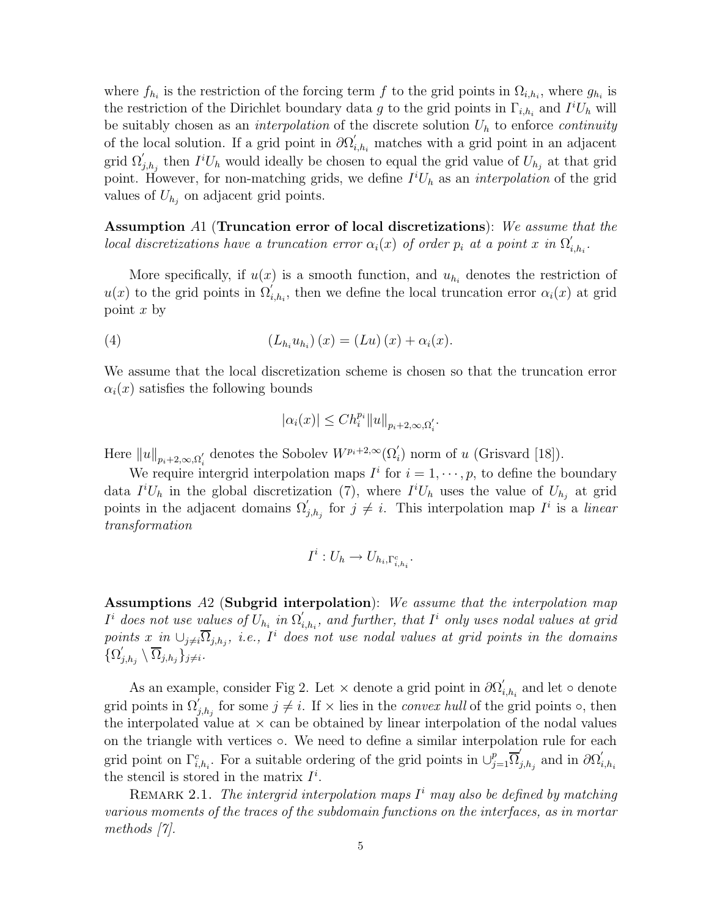where  $f_{h_i}$  is the restriction of the forcing term f to the grid points in  $\Omega_{i,h_i}$ , where  $g_{h_i}$  is the restriction of the Dirichlet boundary data g to the grid points in  $\Gamma_{i,h_i}$  and  $I^iU_h$  will be suitably chosen as an *interpolation* of the discrete solution  $U<sub>h</sub>$  to enforce *continuity* of the local solution. If a grid point in  $\partial\Omega'_{i,h_i}$  matches with a grid point in an adjacent grid  $\Omega'_{j,h_j}$  then  $I^iU_h$  would ideally be chosen to equal the grid value of  $U_{h_j}$  at that grid point. However, for non-matching grids, we define  $I^{i}U_{h}$  as an *interpolation* of the grid values of  $U_{h_i}$  on adjacent grid points.

**Assumption** A1 (**Truncation error of local discretizations**): We assume that the local discretizations have a truncation error  $\alpha_i(x)$  of order  $p_i$  at a point x in  $\Omega'_{i,h_i}$ .

More specifically, if  $u(x)$  is a smooth function, and  $u_{h_i}$  denotes the restriction of  $u(x)$  to the grid points in  $\Omega'_{i,h_i}$ , then we define the local truncation error  $\alpha_i(x)$  at grid point  $x$  by

(4) 
$$
(L_{h_i}u_{h_i})(x) = (Lu)(x) + \alpha_i(x).
$$

We assume that the local discretization scheme is chosen so that the truncation error  $\alpha_i(x)$  satisfies the following bounds

$$
|\alpha_i(x)| \leq Ch_i^{p_i} ||u||_{p_i+2,\infty,\Omega'_i}.
$$

Here  $||u||_{p_i+2,\infty,\Omega'_i}$  denotes the Sobolev  $W^{p_i+2,\infty}(\Omega'_i)$  norm of u (Grisvard [18]).

We require intergrid interpolation maps  $I^i$  for  $i = 1, \dots, p$ , to define the boundary data  $I^iU_h$  in the global discretization (7), where  $I^iU_h$  uses the value of  $U_{h_j}$  at grid points in the adjacent domains  $\Omega'_{j,h_j}$  for  $j \neq i$ . This interpolation map  $I^i$  is a linear transformation

$$
I^i: U_h \to U_{h_i, \Gamma_{i,h_i}^c}.
$$

**Assumptions** A2 (**Subgrid interpolation**): We assume that the interpolation map  $I^i$  does not use values of  $U_{h_i}$  in  $\Omega_{i,h_i}^\prime$ , and further, that  $I^i$  only uses nodal values at grid points x in  $\cup_{j\neq i} \overline{\Omega}_{j,h_j}$ , i.e.,  $I^i$  does not use nodal values at grid points in the domains  $\{\Omega^{'}_{j,h_j}\setminus\overline{\Omega}_{j,h_j}\}_{j\neq i}.$ 

As an example, consider Fig 2. Let  $\times$  denote a grid point in  $\partial\Omega'_{i,h_i}$  and let ∘ denote grid points in  $\Omega'_{j,h_j}$  for some  $j \neq i$ . If  $\times$  lies in the *convex hull* of the grid points  $\circ$ , then the interpolated value at  $\times$  can be obtained by linear interpolation of the nodal values on the triangle with vertices  $\circ$ . We need to define a similar interpolation rule for each grid point on  $\Gamma^c_{i,h_i}$ . For a suitable ordering of the grid points in  $\cup_{j=1}^p \overline{\Omega}'_{j,h_j}$  and in  $\partial \Omega'_{i,h_i}$ the stencil is stored in the matrix  $I^i$ .

REMARK 2.1. The intergrid interpolation maps  $I^i$  may also be defined by matching various moments of the traces of the subdomain functions on the interfaces, as in mortar methods  $|7|$ .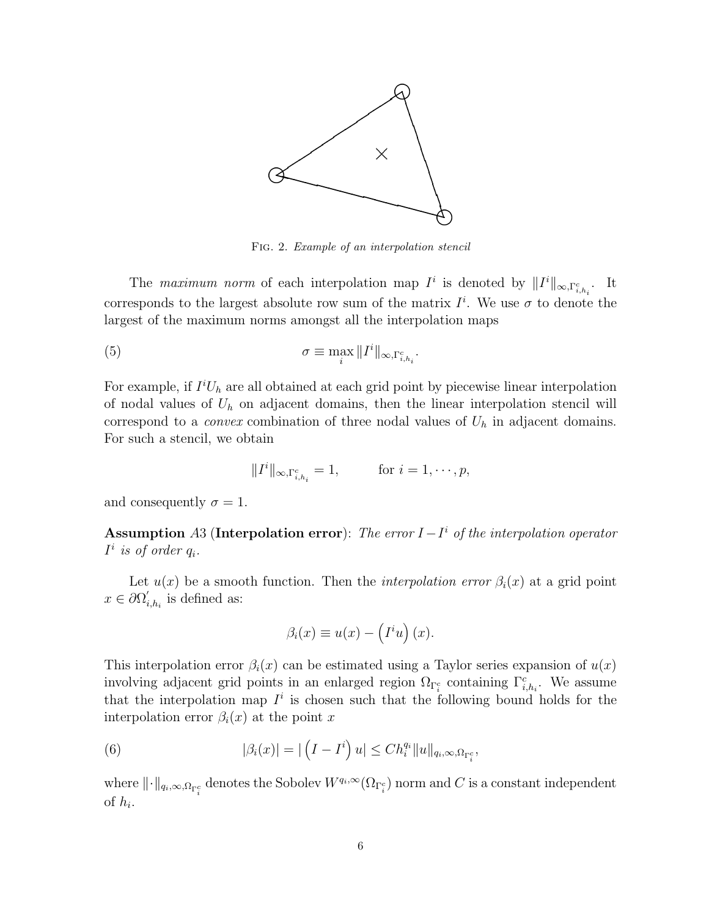

Fig. 2. Example of an interpolation stencil

The maximum norm of each interpolation map  $I^i$  is denoted by  $||I^i||_{\infty,\Gamma_{i,h_i}^c}$ . It corresponds to the largest absolute row sum of the matrix  $I^i$ . We use  $\sigma$  to denote the largest of the maximum norms amongst all the interpolation maps

(5) 
$$
\sigma \equiv \max_{i} ||I^{i}||_{\infty, \Gamma_{i,h_{i}}^{c}}.
$$

For example, if  $I^iU_h$  are all obtained at each grid point by piecewise linear interpolation of nodal values of  $U_h$  on adjacent domains, then the linear interpolation stencil will correspond to a *convex* combination of three nodal values of  $U_h$  in adjacent domains. For such a stencil, we obtain

$$
||Ii||_{\infty,\Gamma_{i,h_i}^c} = 1, \qquad \text{for } i = 1,\cdots,p,
$$

and consequently  $\sigma = 1$ .

**Assumption** A3 (**Interpolation error**): The error  $I - I^i$  of the interpolation operator  $I^i$  is of order  $q_i$ .

Let  $u(x)$  be a smooth function. Then the *interpolation error*  $\beta_i(x)$  at a grid point  $x \in \partial \Omega'_{i,h_i}$  is defined as:

$$
\beta_i(x) \equiv u(x) - \left(I^i u\right)(x).
$$

This interpolation error  $\beta_i(x)$  can be estimated using a Taylor series expansion of  $u(x)$ involving adjacent grid points in an enlarged region  $\Omega_{\Gamma_i^c}$  containing  $\Gamma_{i,h_i}^c$ . We assume that the interpolation map  $I^i$  is chosen such that the following bound holds for the interpolation error  $\beta_i(x)$  at the point x

(6) 
$$
|\beta_i(x)| = |\left(I - I^i\right)u| \leq Ch_i^{q_i} \|u\|_{q_i,\infty,\Omega_{\Gamma_i^c}},
$$

where  $\lVert \cdot \rVert_{q_i,\infty,\Omega_{\Gamma_i^c}}$  denotes the Sobolev  $W^{q_i,\infty}(\Omega_{\Gamma_i^c})$  norm and C is a constant independent of  $h_i$ .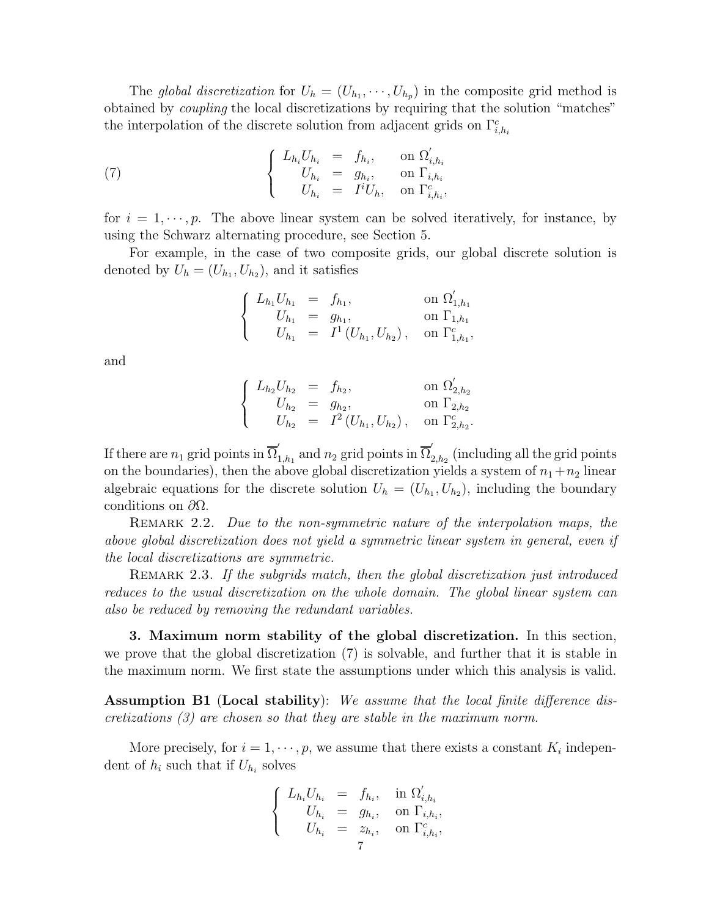The global discretization for  $U_h = (U_{h_1}, \dots, U_{h_p})$  in the composite grid method is obtained by coupling the local discretizations by requiring that the solution "matches" the interpolation of the discrete solution from adjacent grids on  $\Gamma_{i,h_i}^c$ 

(7) 
$$
\begin{cases} L_{h_i} U_{h_i} = f_{h_i}, & \text{on } \Omega'_{i,h_i} \\ U_{h_i} = g_{h_i}, & \text{on } \Gamma_{i,h_i} \\ U_{h_i} = I^i U_h, & \text{on } \Gamma_{i,h_i}^c, \end{cases}
$$

for  $i = 1, \dots, p$ . The above linear system can be solved iteratively, for instance, by using the Schwarz alternating procedure, see Section 5.

For example, in the case of two composite grids, our global discrete solution is denoted by  $U_h = (U_{h_1}, U_{h_2})$ , and it satisfies

$$
\begin{cases}\nL_{h_1} U_{h_1} = f_{h_1}, & \text{on } \Omega'_{1,h_1} \\
U_{h_1} = g_{h_1}, & \text{on } \Gamma_{1,h_1} \\
U_{h_1} = I^1(U_{h_1}, U_{h_2}), & \text{on } \Gamma^c_{1,h_1},\n\end{cases}
$$

and

$$
\begin{cases}\nL_{h_2} U_{h_2} = f_{h_2}, & \text{on } \Omega'_{2,h_2} \\
U_{h_2} = g_{h_2}, & \text{on } \Gamma_{2,h_2} \\
U_{h_2} = I^2(U_{h_1}, U_{h_2}), & \text{on } \Gamma_{2,h_2}^c.\n\end{cases}
$$

If there are  $n_1$  grid points in  $\overline{\Omega}'_{1,h_1}$  and  $n_2$  grid points in  $\overline{\Omega}'_{2,h_2}$  (including all the grid points on the boundaries), then the above global discretization yields a system of  $n_1+n_2$  linear algebraic equations for the discrete solution  $U_h = (U_{h_1}, U_{h_2})$ , including the boundary conditions on  $\partial\Omega$ .

REMARK 2.2. Due to the non-symmetric nature of the interpolation maps, the above global discretization does not yield a symmetric linear system in general, even if the local discretizations are symmetric.

REMARK 2.3. If the subgrids match, then the global discretization just introduced reduces to the usual discretization on the whole domain. The global linear system can also be reduced by removing the redundant variables.

**3. Maximum norm stability of the global discretization.** In this section, we prove that the global discretization (7) is solvable, and further that it is stable in the maximum norm. We first state the assumptions under which this analysis is valid.

**Assumption B1** (**Local stability**): We assume that the local finite difference discretizations (3) are chosen so that they are stable in the maximum norm.

More precisely, for  $i = 1, \dots, p$ , we assume that there exists a constant  $K_i$  independent of  $h_i$  such that if  $U_{h_i}$  solves

$$
\begin{cases}\nL_{h_i} U_{h_i} = f_{h_i}, & \text{in } \Omega'_{i,h_i} \\
U_{h_i} = g_{h_i}, & \text{on } \Gamma_{i,h_i}, \\
U_{h_i} = z_{h_i}, & \text{on } \Gamma^c_{i,h_i},\n\end{cases}
$$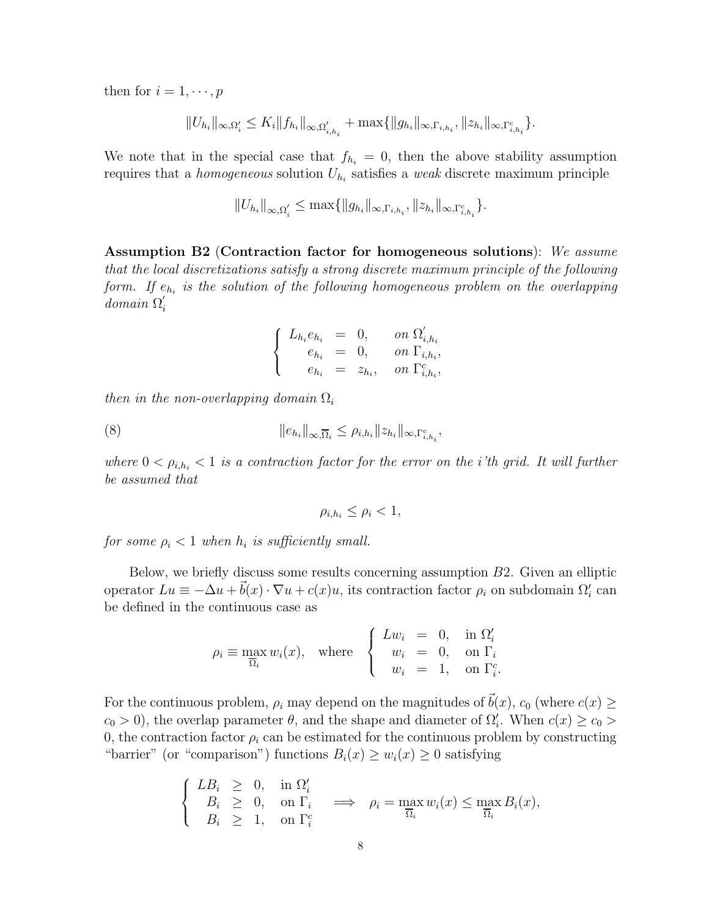then for  $i = 1, \dots, p$ 

$$
||U_{h_i}||_{\infty,\Omega'_i} \leq K_i ||f_{h_i}||_{\infty,\Omega'_{i,h_i}} + \max{||g_{h_i}||_{\infty,\Gamma_{i,h_i}}, ||z_{h_i}||_{\infty,\Gamma_{i,h_i}^c}}.
$$

We note that in the special case that  $f_{h_i} = 0$ , then the above stability assumption requires that a *homogeneous* solution  $U_{h_i}$  satisfies a *weak* discrete maximum principle

$$
||U_{h_i}||_{\infty,\Omega_i'} \leq \max\{||g_{h_i}||_{\infty,\Gamma_{i,h_i}}, ||z_{h_i}||_{\infty,\Gamma_{i,h_i}^c}\}.
$$

**Assumption B2** (**Contraction factor for homogeneous solutions**): We assume that the local discretizations satisfy a strong discrete maximum principle of the following form. If  $e_{h_i}$  is the solution of the following homogeneous problem on the overlapping  $domain \Omega'_{i}$ 

$$
\begin{cases}\nL_{h_i} e_{h_i} = 0, & \text{on } \Omega'_{i,h_i} \\
e_{h_i} = 0, & \text{on } \Gamma_{i,h_i}, \\
e_{h_i} = z_{h_i}, & \text{on } \Gamma^c_{i,h_i},\n\end{cases}
$$

then in the non-overlapping domain  $\Omega_i$ 

(8) 
$$
||e_{h_i}||_{\infty,\overline{\Omega}_i} \leq \rho_{i,h_i}||z_{h_i}||_{\infty,\Gamma_{i,h_i}^c},
$$

where  $0 < \rho_{i,h_i} < 1$  is a contraction factor for the error on the *i*'th grid. It will further be assumed that

$$
\rho_{i,h_i} \le \rho_i < 1,
$$

for some  $\rho_i < 1$  when  $h_i$  is sufficiently small.

Below, we briefly discuss some results concerning assumption B2. Given an elliptic operator  $Lu \equiv -\Delta u + \vec{b}(x) \cdot \nabla u + c(x)u$ , its contraction factor  $\rho_i$  on subdomain  $\Omega'_i$  can be defined in the continuous case as

$$
\rho_i \equiv \max_{\overline{\Omega}_i} w_i(x), \quad \text{where} \quad \begin{cases} \ L w_i &= 0, & \text{in } \Omega'_i \\ w_i &= 0, & \text{on } \Gamma_i \\ w_i &= 1, & \text{on } \Gamma_i^c. \end{cases}
$$

For the continuous problem,  $\rho_i$  may depend on the magnitudes of  $\vec{b}(x)$ ,  $c_0$  (where  $c(x) \geq$  $c_0 > 0$ , the overlap parameter  $\theta$ , and the shape and diameter of  $\Omega'_i$ . When  $c(x) \ge c_0 > 0$ 0, the contraction factor  $\rho_i$  can be estimated for the continuous problem by constructing "barrier" (or "comparison") functions  $B_i(x) \geq w_i(x) \geq 0$  satisfying

$$
\begin{cases}\nLB_i & \geq 0, \quad \text{in } \Omega'_i \\
B_i & \geq 0, \quad \text{on } \Gamma_i \\
B_i & \geq 1, \quad \text{on } \Gamma'_i\n\end{cases}\n\implies \rho_i = \max_{\overline{\Omega}_i} w_i(x) \leq \max_{\overline{\Omega}_i} B_i(x),
$$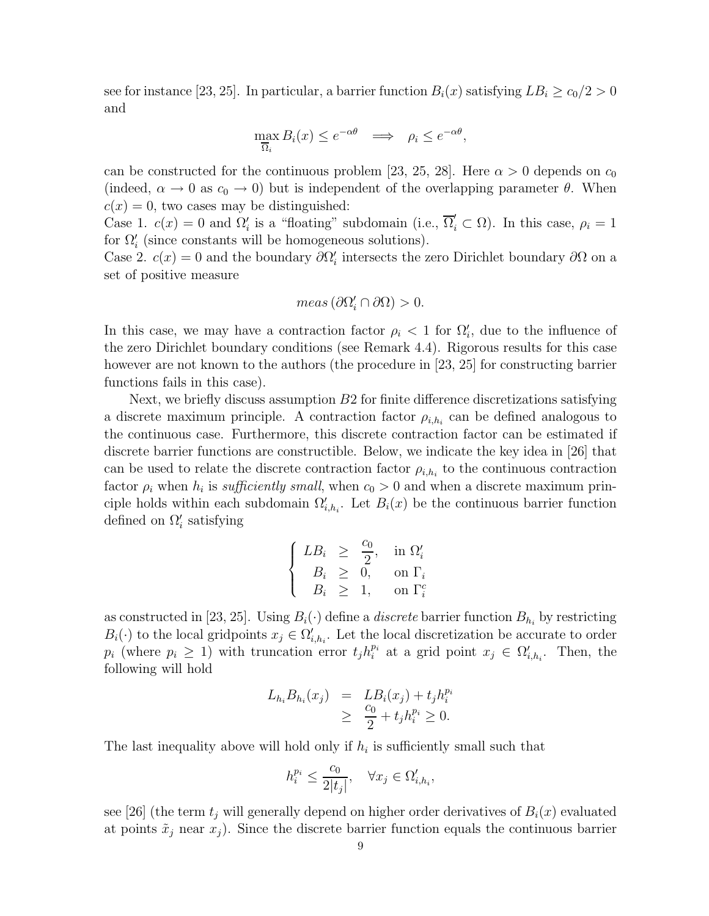see for instance [23, 25]. In particular, a barrier function  $B_i(x)$  satisfying  $LB_i \geq c_0/2 > 0$ and

$$
\max_{\overline{\Omega}_i} B_i(x) \le e^{-\alpha \theta} \implies \rho_i \le e^{-\alpha \theta},
$$

can be constructed for the continuous problem [23, 25, 28]. Here  $\alpha > 0$  depends on  $c_0$ (indeed,  $\alpha \to 0$  as  $c_0 \to 0$ ) but is independent of the overlapping parameter  $\theta$ . When  $c(x) = 0$ , two cases may be distinguished:

Case 1.  $c(x) = 0$  and  $\Omega'_i$  is a "floating" subdomain (i.e.,  $\overline{\Omega}'_i \subset \Omega$ ). In this case,  $\rho_i = 1$ for  $\Omega_i'$  (since constants will be homogeneous solutions).

Case 2.  $c(x) = 0$  and the boundary  $\partial \Omega'_i$  intersects the zero Dirichlet boundary  $\partial \Omega$  on a set of positive measure

$$
meas\left(\partial\Omega_{i}'\cap\partial\Omega\right)>0.
$$

In this case, we may have a contraction factor  $\rho_i < 1$  for  $\Omega_i'$ , due to the influence of the zero Dirichlet boundary conditions (see Remark 4.4). Rigorous results for this case however are not known to the authors (the procedure in [23, 25] for constructing barrier functions fails in this case).

Next, we briefly discuss assumption B2 for finite difference discretizations satisfying a discrete maximum principle. A contraction factor  $\rho_{i,h_i}$  can be defined analogous to the continuous case. Furthermore, this discrete contraction factor can be estimated if discrete barrier functions are constructible. Below, we indicate the key idea in [26] that can be used to relate the discrete contraction factor  $\rho_{i,h_i}$  to the continuous contraction factor  $\rho_i$  when  $h_i$  is sufficiently small, when  $c_0 > 0$  and when a discrete maximum principle holds within each subdomain  $\Omega'_{i,h_i}$ . Let  $B_i(x)$  be the continuous barrier function defined on  $\Omega_i'$  satisfying

$$
\left\{\begin{array}{rcl} LB_i & \ge & \frac{c_0}{2}, & \textrm{ in } \Omega'_i \\ B_i & \ge & 0, & \textrm{ on } \Gamma_i \\ B_i & \ge & 1, & \textrm{ on } \Gamma'_i \end{array}\right.
$$

as constructed in [23, 25]. Using  $B_i(\cdot)$  define a *discrete* barrier function  $B_{h_i}$  by restricting  $B_i(\cdot)$  to the local gridpoints  $x_j \in \Omega'_{i,h_i}$ . Let the local discretization be accurate to order  $p_i$  (where  $p_i \geq 1$ ) with truncation error  $t_j h_i^{p_i}$  at a grid point  $x_j \in \Omega'_{i,h_i}$ . Then, the following will hold

$$
L_{h_i} B_{h_i}(x_j) = L B_i(x_j) + t_j h_i^{p_i} \ge \frac{c_0}{2} + t_j h_i^{p_i} \ge 0.
$$

The last inequality above will hold only if  $h_i$  is sufficiently small such that

$$
h_i^{p_i} \le \frac{c_0}{2|t_j|}, \quad \forall x_j \in \Omega_{i,h_i}',
$$

see [26] (the term  $t_j$  will generally depend on higher order derivatives of  $B_i(x)$  evaluated at points  $\tilde{x}_j$  near  $x_j$ ). Since the discrete barrier function equals the continuous barrier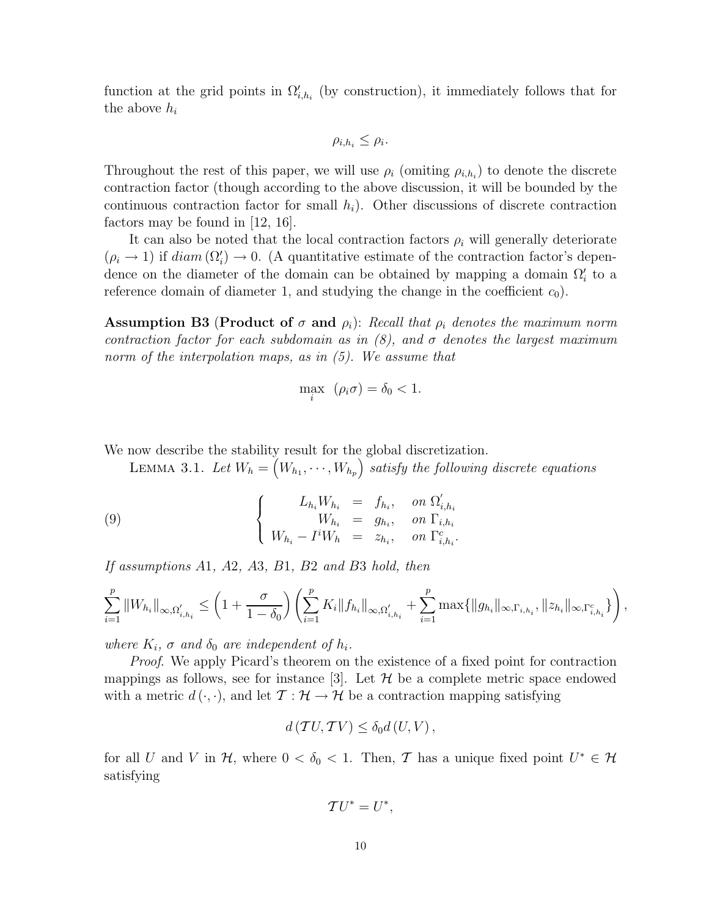function at the grid points in  $\Omega'_{i,h_i}$  (by construction), it immediately follows that for the above  $h_i$ 

$$
\rho_{i,h_i} \leq \rho_i.
$$

Throughout the rest of this paper, we will use  $\rho_i$  (omiting  $\rho_{i,h_i}$ ) to denote the discrete contraction factor (though according to the above discussion, it will be bounded by the continuous contraction factor for small  $h_i$ ). Other discussions of discrete contraction factors may be found in [12, 16].

It can also be noted that the local contraction factors  $\rho_i$  will generally deteriorate  $(\rho_i \to 1)$  if  $diam(\Omega'_i) \to 0$ . (A quantitative estimate of the contraction factor's dependence on the diameter of the domain can be obtained by mapping a domain  $\Omega_i'$  to a reference domain of diameter 1, and studying the change in the coefficient  $c_0$ ).

**Assumption B3** (**Product of**  $\sigma$  **and**  $\rho_i$ ): Recall that  $\rho_i$  denotes the maximum norm contraction factor for each subdomain as in  $(8)$ , and  $\sigma$  denotes the largest maximum norm of the interpolation maps, as in  $(5)$ . We assume that

$$
\max_i \ \left( \rho_i \sigma \right) = \delta_0 < 1.
$$

We now describe the stability result for the global discretization.

LEMMA 3.1. Let  $W_h = (W_{h_1}, \dots, W_{h_p})$  satisfy the following discrete equations

(9) 
$$
\begin{cases}\nL_{h_i} W_{h_i} = f_{h_i}, & on \ \Omega'_{i,h_i} \\
W_{h_i} = g_{h_i}, & on \ \Gamma_{i,h_i} \\
W_{h_i} - I^i W_h = z_{h_i}, & on \ \Gamma_{i,h_i}^c.\n\end{cases}
$$

If assumptions A1, A2, A3, B1, B2 and B3 hold, then

$$
\sum_{i=1}^p \|W_{h_i}\|_{\infty,\Omega'_{i,h_i}} \le \left(1 + \frac{\sigma}{1-\delta_0}\right) \left(\sum_{i=1}^p K_i \|f_{h_i}\|_{\infty,\Omega'_{i,h_i}} + \sum_{i=1}^p \max\{\|g_{h_i}\|_{\infty,\Gamma_{i,h_i}},\|z_{h_i}\|_{\infty,\Gamma_{i,h_i}^c}\}\right),
$$

where  $K_i$ ,  $\sigma$  and  $\delta_0$  are independent of  $h_i$ .

Proof. We apply Picard's theorem on the existence of a fixed point for contraction mappings as follows, see for instance [3]. Let  $\mathcal H$  be a complete metric space endowed with a metric  $d(\cdot, \cdot)$ , and let  $\mathcal{T} : \mathcal{H} \to \mathcal{H}$  be a contraction mapping satisfying

$$
d(TU, TV) \leq \delta_0 d(U, V),
$$

for all U and V in H, where  $0 < \delta_0 < 1$ . Then, T has a unique fixed point  $U^* \in \mathcal{H}$ satisfying

$$
\mathcal{T}U^*=U^*,
$$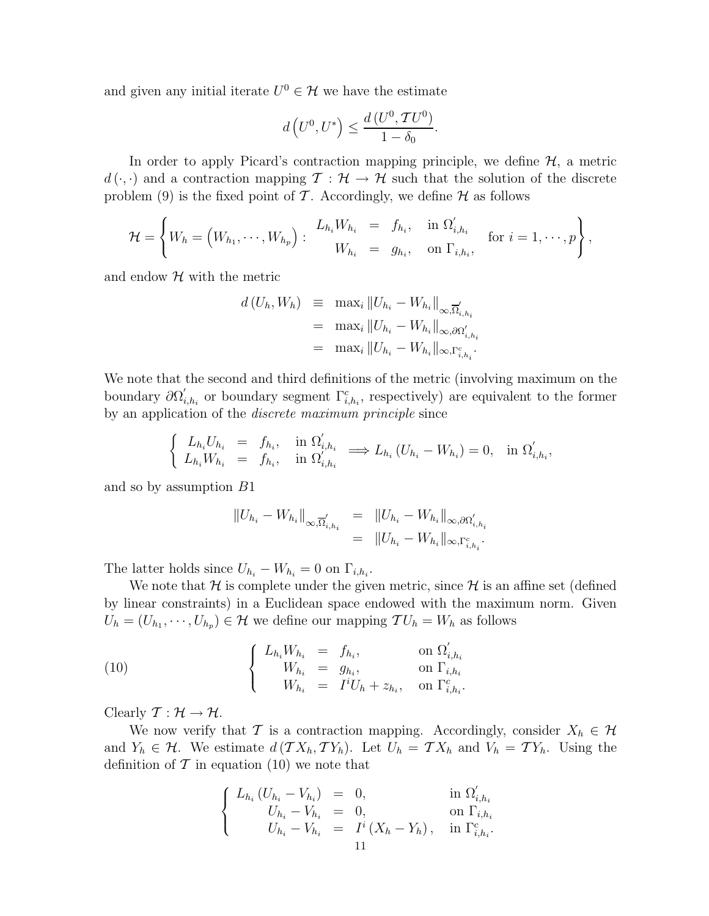and given any initial iterate  $U^0 \in \mathcal{H}$  we have the estimate

$$
d\left(U^0, U^*\right) \le \frac{d\left(U^0, \mathcal{T}U^0\right)}{1 - \delta_0}.
$$

In order to apply Picard's contraction mapping principle, we define  $H$ , a metric  $d(\cdot, \cdot)$  and a contraction mapping  $\mathcal{T} : \mathcal{H} \to \mathcal{H}$  such that the solution of the discrete problem (9) is the fixed point of T. Accordingly, we define  $H$  as follows

$$
\mathcal{H} = \left\{ W_h = \left( W_{h_1}, \cdots, W_{h_p} \right) : \begin{array}{rcl} L_{h_i} W_{h_i} & = & f_{h_i}, \quad \text{in } \Omega'_{i, h_i} \\ W_{h_i} & = & g_{h_i}, \quad \text{on } \Gamma_{i, h_i}, \end{array} \right. \quad \text{for } i = 1, \cdots, p \right\},
$$

and endow  $H$  with the metric

$$
d(U_h, W_h) \equiv \max_i \|U_{h_i} - W_{h_i}\|_{\infty, \overline{\Omega}'_{i, h_i}}
$$
  

$$
= \max_i \|U_{h_i} - W_{h_i}\|_{\infty, \partial \Omega'_{i, h_i}}
$$
  

$$
= \max_i \|U_{h_i} - W_{h_i}\|_{\infty, \Gamma^c_{i, h_i}}.
$$

We note that the second and third definitions of the metric (involving maximum on the boundary  $\partial \Omega'_{i,h_i}$  or boundary segment  $\Gamma^c_{i,h_i}$ , respectively) are equivalent to the former by an application of the discrete maximum principle since

$$
\begin{cases}\nL_{h_i} U_{h_i} = f_{h_i}, & \text{in } \Omega'_{i,h_i} \\
L_{h_i} W_{h_i} = f_{h_i}, & \text{in } \Omega'_{i,h_i}\n\end{cases} \Longrightarrow L_{h_i} (U_{h_i} - W_{h_i}) = 0, \text{ in } \Omega'_{i,h_i},
$$

and so by assumption B1

$$
||U_{h_i} - W_{h_i}||_{\infty, \overline{\Omega}'_{i, h_i}} = ||U_{h_i} - W_{h_i}||_{\infty, \partial \Omega'_{i, h_i}}= ||U_{h_i} - W_{h_i}||_{\infty, \Gamma^c_{i, h_i}}.
$$

The latter holds since  $U_{h_i} - W_{h_i} = 0$  on  $\Gamma_{i,h_i}$ .

We note that  $\mathcal H$  is complete under the given metric, since  $\mathcal H$  is an affine set (defined by linear constraints) in a Euclidean space endowed with the maximum norm. Given  $U_h = (U_{h_1}, \dots, U_{h_p}) \in \mathcal{H}$  we define our mapping  $\mathcal{T}U_h = W_h$  as follows

(10) 
$$
\begin{cases} L_{h_i} W_{h_i} = f_{h_i}, & \text{on } \Omega'_{i,h_i} \\ W_{h_i} = g_{h_i}, & \text{on } \Gamma_{i,h_i} \\ W_{h_i} = I^i U_h + z_{h_i}, & \text{on } \Gamma^c_{i,h_i}. \end{cases}
$$

Clearly  $\mathcal{T} : \mathcal{H} \to \mathcal{H}$ .

We now verify that T is a contraction mapping. Accordingly, consider  $X_h \in \mathcal{H}$ and  $Y_h \in \mathcal{H}$ . We estimate  $d(T X_h, T Y_h)$ . Let  $U_h = T X_h$  and  $V_h = T Y_h$ . Using the definition of  $\mathcal T$  in equation (10) we note that

$$
\begin{cases}\nL_{h_i} (U_{h_i} - V_{h_i}) &= 0, & \text{in } \Omega'_{i,h_i} \\
U_{h_i} - V_{h_i} &= 0, & \text{on } \Gamma_{i,h_i} \\
U_{h_i} - V_{h_i} &= I^i (X_h - Y_h), & \text{in } \Gamma_{i,h_i}^c.\n\end{cases}
$$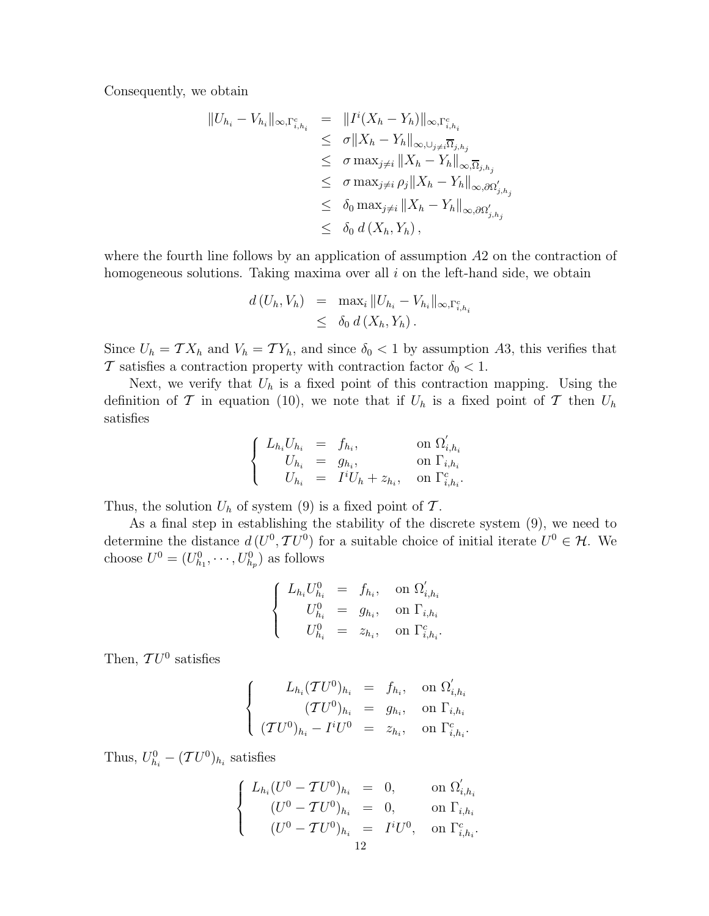Consequently, we obtain

$$
||U_{h_i} - V_{h_i}||_{\infty, \Gamma_{i,h_i}^c} = ||I^i(X_h - Y_h)||_{\infty, \Gamma_{i,h_i}^c}
$$
  
\n
$$
\leq \sigma ||X_h - Y_h||_{\infty, \cup_{j \neq i} \overline{\Omega}_{j,h_j}^c}
$$
  
\n
$$
\leq \sigma \max_{j \neq i} ||X_h - Y_h||_{\infty, \overline{\Omega}_{j,h_j}^c}
$$
  
\n
$$
\leq \sigma \max_{j \neq i} \rho_j ||X_h - Y_h||_{\infty, \partial \Omega'_{j,h_j}^c}
$$
  
\n
$$
\leq \delta_0 \max_{j \neq i} ||X_h - Y_h||_{\infty, \partial \Omega'_{j,h_j}^c}
$$
  
\n
$$
\leq \delta_0 d(X_h, Y_h),
$$

where the fourth line follows by an application of assumption A2 on the contraction of homogeneous solutions. Taking maxima over all  $i$  on the left-hand side, we obtain

$$
d(U_h, V_h) = \max_i ||U_{h_i} - V_{h_i}||_{\infty, \Gamma_{i,h_i}^c}
$$
  

$$
\leq \delta_0 d(X_h, Y_h).
$$

Since  $U_h = T X_h$  and  $V_h = T Y_h$ , and since  $\delta_0 < 1$  by assumption A3, this verifies that T satisfies a contraction property with contraction factor  $\delta_0 < 1$ .

Next, we verify that  $U_h$  is a fixed point of this contraction mapping. Using the definition of T in equation (10), we note that if  $U_h$  is a fixed point of T then  $U_h$ satisfies

$$
\begin{cases}\nL_{h_i} U_{h_i} = f_{h_i}, & \text{on } \Omega'_{i,h_i} \\
U_{h_i} = g_{h_i}, & \text{on } \Gamma_{i,h_i} \\
U_{h_i} = I^i U_h + z_{h_i}, & \text{on } \Gamma^c_{i,h_i}.\n\end{cases}
$$

Thus, the solution  $U_h$  of system (9) is a fixed point of  $\mathcal T$ .

As a final step in establishing the stability of the discrete system (9), we need to determine the distance  $d(U^0, TU^0)$  for a suitable choice of initial iterate  $U^0 \in \mathcal{H}$ . We choose  $U^0 = (U_{h_1}^0, \cdots, U_{h_p}^0)$  as follows

$$
\begin{cases}\nL_{h_i} U_{h_i}^0 = f_{h_i}, & \text{on } \Omega'_{i,h_i} \\
U_{h_i}^0 = g_{h_i}, & \text{on } \Gamma_{i,h_i} \\
U_{h_i}^0 = z_{h_i}, & \text{on } \Gamma_{i,h_i}^c.\n\end{cases}
$$

Then,  $TU^0$  satisfies

$$
\begin{cases}\nL_{h_i}(\mathcal{T}U^0)_{h_i} = f_{h_i}, & \text{on } \Omega'_{i,h_i} \\
(\mathcal{T}U^0)_{h_i} = g_{h_i}, & \text{on } \Gamma_{i,h_i} \\
(\mathcal{T}U^0)_{h_i} - I^iU^0 = z_{h_i}, & \text{on } \Gamma^c_{i,h_i}.\n\end{cases}
$$

Thus,  $U_{h_i}^0 - (\mathcal{T}U^0)_{h_i}$  satisfies

$$
\begin{cases}\nL_{h_i}(U^0 - T U^0)_{h_i} &= 0, & \text{on } \Omega'_{i, h_i} \\
(U^0 - T U^0)_{h_i} &= 0, & \text{on } \Gamma_{i, h_i} \\
(U^0 - T U^0)_{h_i} &= I^i U^0, & \text{on } \Gamma^c_{i, h_i}.\n\end{cases}
$$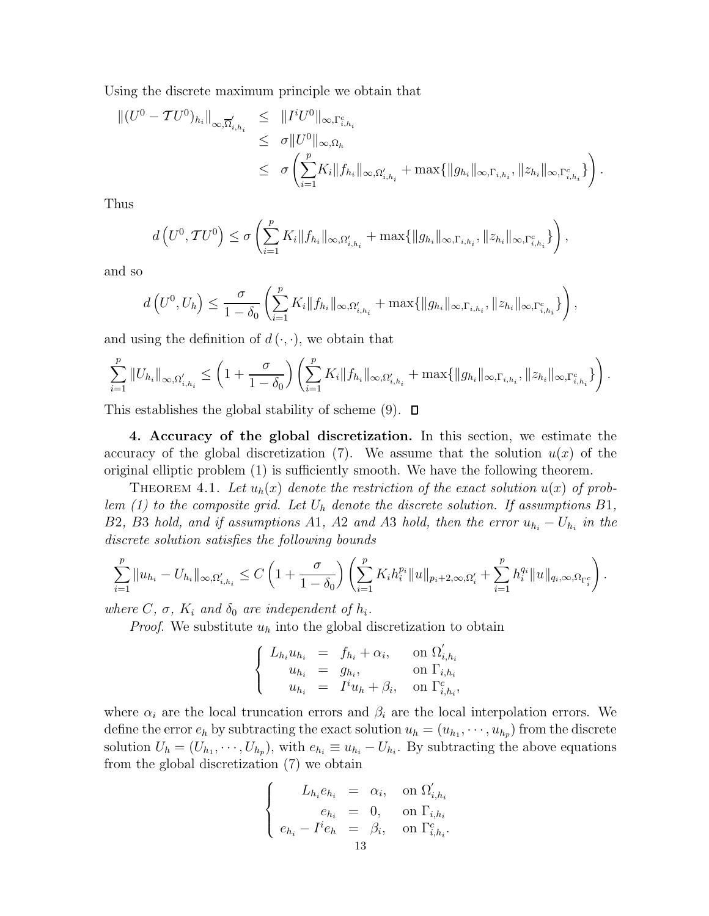Using the discrete maximum principle we obtain that

$$
\begin{array}{lcl} \left\| (U^0 - \mathcal{T} U^0)_{h_i} \right\|_{\infty, \overline{\Omega}'_{i, h_i}} & \leq & \left\| I^i U^0 \right\|_{\infty, \Gamma^c_{i, h_i}} \\ & \leq & \sigma \left\| U^0 \right\|_{\infty, \Omega_h} \\ & \leq & \sigma \left( \sum_{i=1}^p K_i \left\| f_{h_i} \right\|_{\infty, \Omega'_{i, h_i}} + \max \{ \left\| g_{h_i} \right\|_{\infty, \Gamma_{i, h_i}}, \left\| z_{h_i} \right\|_{\infty, \Gamma^c_{i, h_i}} \} \right) . \end{array}
$$

Thus

$$
d\left(U^{0}, \mathcal{T}U^{0}\right) \leq \sigma\left(\sum_{i=1}^{p} K_{i} \|f_{h_{i}}\|_{\infty, \Omega'_{i,h_{i}}} + \max\{\|g_{h_{i}}\|_{\infty, \Gamma_{i,h_{i}}}, \|z_{h_{i}}\|_{\infty, \Gamma_{i,h_{i}}^{c}}\}\right),
$$

and so

$$
d\left(U^{0}, U_{h}\right) \leq \frac{\sigma}{1-\delta_{0}}\left(\sum_{i=1}^{p} K_{i} \|f_{h_{i}}\|_{\infty, \Omega'_{i,h_{i}}} + \max\{\|g_{h_{i}}\|_{\infty, \Gamma_{i,h_{i}}}, \|z_{h_{i}}\|_{\infty, \Gamma_{i,h_{i}}^{c}}\}\right),
$$

and using the definition of  $d(\cdot, \cdot)$ , we obtain that

$$
\sum_{i=1}^p \|U_{h_i}\|_{\infty,\Omega'_{i,h_i}} \le \left(1 + \frac{\sigma}{1-\delta_0}\right) \left(\sum_{i=1}^p K_i \|f_{h_i}\|_{\infty,\Omega'_{i,h_i}} + \max\{\|g_{h_i}\|_{\infty,\Gamma_{i,h_i}},\|z_{h_i}\|_{\infty,\Gamma_{i,h_i}^c}\}\right).
$$

This establishes the global stability of scheme  $(9)$ .  $\square$ 

**4. Accuracy of the global discretization.** In this section, we estimate the accuracy of the global discretization (7). We assume that the solution  $u(x)$  of the original elliptic problem (1) is sufficiently smooth. We have the following theorem.

THEOREM 4.1. Let  $u_h(x)$  denote the restriction of the exact solution  $u(x)$  of problem (1) to the composite grid. Let  $U_h$  denote the discrete solution. If assumptions B1, B2, B3 hold, and if assumptions A1, A2 and A3 hold, then the error  $u_{h_i} - U_{h_i}$  in the discrete solution satisfies the following bounds

$$
\sum_{i=1}^p \|u_{h_i} - U_{h_i}\|_{\infty, \Omega'_{i, h_i}} \le C \left(1 + \frac{\sigma}{1 - \delta_0}\right) \left(\sum_{i=1}^p K_i h_i^{p_i} \|u\|_{p_i + 2, \infty, \Omega'_i} + \sum_{i=1}^p h_i^{q_i} \|u\|_{q_i, \infty, \Omega_{\Gamma_i^c}}\right).
$$

where C,  $\sigma$ ,  $K_i$  and  $\delta_0$  are independent of  $h_i$ .

*Proof.* We substitute  $u_h$  into the global discretization to obtain

$$
\begin{cases}\nL_{h_i} u_{h_i} = f_{h_i} + \alpha_i, & \text{on } \Omega'_{i, h_i} \\
u_{h_i} = g_{h_i}, & \text{on } \Gamma_{i, h_i} \\
u_{h_i} = I^i u_h + \beta_i, & \text{on } \Gamma^c_{i, h_i},\n\end{cases}
$$

where  $\alpha_i$  are the local truncation errors and  $\beta_i$  are the local interpolation errors. We define the error  $e_h$  by subtracting the exact solution  $u_h = (u_{h_1}, \dots, u_{h_p})$  from the discrete solution  $U_h = (U_{h_1}, \dots, U_{h_p})$ , with  $e_{h_i} \equiv u_{h_i} - U_{h_i}$ . By subtracting the above equations from the global discretization (7) we obtain

$$
\begin{cases}\nL_{h_i} e_{h_i} = \alpha_i, & \text{on } \Omega'_{i,h_i} \\
e_{h_i} = 0, & \text{on } \Gamma_{i,h_i} \\
e_{h_i} - I^i e_h = \beta_i, & \text{on } \Gamma^c_{i,h_i}.\n\end{cases}
$$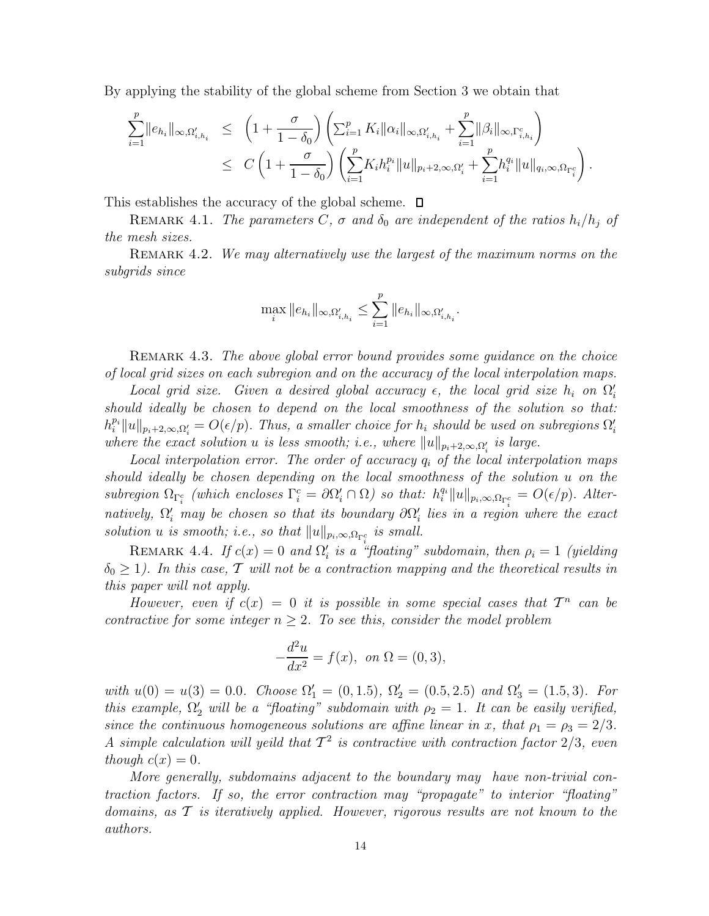By applying the stability of the global scheme from Section 3 we obtain that

$$
\sum_{i=1}^p \|e_{h_i}\|_{\infty, \Omega'_{i,h_i}} \leq \left(1 + \frac{\sigma}{1 - \delta_0}\right) \left( \sum_{i=1}^p K_i \| \alpha_i \|_{\infty, \Omega'_{i,h_i}} + \sum_{i=1}^p \|\beta_i\|_{\infty, \Gamma^c_{i,h_i}} \right) \leq C \left(1 + \frac{\sigma}{1 - \delta_0}\right) \left( \sum_{i=1}^p K_i h_i^{p_i} \|u\|_{p_i+2,\infty,\Omega'_i} + \sum_{i=1}^p h_i^{q_i} \|u\|_{q_i,\infty,\Omega_{\Gamma_i^c}} \right).
$$

This establishes the accuracy of the global scheme.  $\square$ 

REMARK 4.1. The parameters C,  $\sigma$  and  $\delta_0$  are independent of the ratios  $h_i/h_j$  of the mesh sizes.

REMARK 4.2. We may alternatively use the largest of the maximum norms on the subgrids since

$$
\max_{i} ||e_{h_i}||_{\infty, \Omega'_{i, h_i}} \leq \sum_{i=1}^p ||e_{h_i}||_{\infty, \Omega'_{i, h_i}}.
$$

REMARK 4.3. The above global error bound provides some guidance on the choice of local grid sizes on each subregion and on the accuracy of the local interpolation maps.

Local grid size. Given a desired global accuracy  $\epsilon$ , the local grid size  $h_i$  on  $\Omega'_i$ should ideally be chosen to depend on the local smoothness of the solution so that:  $h_i^{p_i} \|u\|_{p_i+2,\infty,\Omega'_i} = O(\epsilon/p)$ . Thus, a smaller choice for  $h_i$  should be used on subregions  $\Omega'_i$ where the exact solution u is less smooth; i.e., where  $||u||_{p_i+2,\infty,\Omega'_i}$  is large.

Local interpolation error. The order of accuracy  $q_i$  of the local interpolation maps should ideally be chosen depending on the local smoothness of the solution u on the subregion  $\Omega_{\Gamma_i^c}$  (which encloses  $\Gamma_i^c = \partial \Omega_i' \cap \Omega$ ) so that:  $h_i^{q_i} ||u||_{p_i, \infty, \Omega_{\Gamma_i^c}} = O(\epsilon/p)$ . Alternatively,  $\Omega'_i$  may be chosen so that its boundary  $\partial \Omega'_i$  lies in a region where the exact solution u is smooth; i.e., so that  $||u||_{p_i,\infty,\Omega_{\Gamma_i^c}}$  is small.

REMARK 4.4. If  $c(x) = 0$  and  $\Omega'_i$  is a "floating" subdomain, then  $\rho_i = 1$  (yielding  $\delta_0 \geq 1$ ). In this case, T will not be a contraction mapping and the theoretical results in this paper will not apply.

However, even if  $c(x)=0$  it is possible in some special cases that  $\mathcal{T}^n$  can be contractive for some integer  $n \geq 2$ . To see this, consider the model problem

$$
-\frac{d^2u}{dx^2} = f(x), \ \ on \ \Omega = (0,3),
$$

with  $u(0) = u(3) = 0.0$ . Choose  $\Omega'_1 = (0, 1.5)$ ,  $\Omega'_2 = (0.5, 2.5)$  and  $\Omega'_3 = (1.5, 3)$ . For this example,  $\Omega'_2$  will be a "floating" subdomain with  $\rho_2 = 1$ . It can be easily verified, since the continuous homogeneous solutions are affine linear in x, that  $\rho_1 = \rho_3 = 2/3$ . A simple calculation will yeild that  $\mathcal{T}^2$  is contractive with contraction factor 2/3, even though  $c(x)=0$ .

More generally, subdomains adjacent to the boundary may have non-trivial contraction factors. If so, the error contraction may "propagate" to interior "floating" domains, as  $\mathcal T$  is iteratively applied. However, rigorous results are not known to the authors.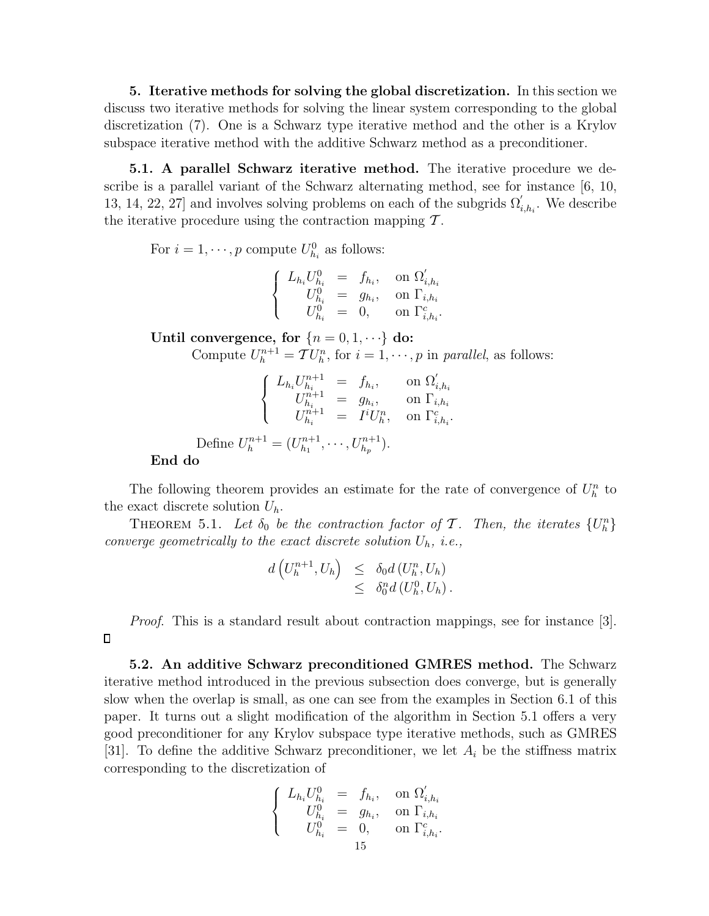**5. Iterative methods for solving the global discretization.** In this section we discuss two iterative methods for solving the linear system corresponding to the global discretization (7). One is a Schwarz type iterative method and the other is a Krylov subspace iterative method with the additive Schwarz method as a preconditioner.

**5.1. A parallel Schwarz iterative method.** The iterative procedure we describe is a parallel variant of the Schwarz alternating method, see for instance [6, 10, 13, 14, 22, 27] and involves solving problems on each of the subgrids  $\Omega'_{i,h_i}$ . We describe the iterative procedure using the contraction mapping  $\mathcal T$ .

For  $i = 1, \dots, p$  compute  $U_{h_i}^0$  as follows:

| $L_{h_i}U^0_{h_i}$ | $=$ | $f_{h_i},$ | on $\Omega'_{i,h_i}$    |
|--------------------|-----|------------|-------------------------|
|                    | $=$ | $g_{h_i},$ | on $\Gamma_{i,h_i}$     |
| $U^0_{h_i}$        | $=$ | 0.         | on $\Gamma_{i,h_i}^c$ . |

Until convergence, for  $\{n = 0, 1, \dots\}$  do: Compute  $U_h^{n+1} = \mathcal{T}U_h^n$ , for  $i = 1, \dots, p$  in parallel, as follows:

| $\left\{ \begin{array}{rcl} L_{h_i}U^{n+1}_{h_i} &=& f_{h_i}, \quad & \textrm{on}\ \Omega'_{i,h_i}\\ U^{n+1}_{h_i} &=& g_{h_i}, \quad & \textrm{on}\ \Gamma_{i,h_i}\\ U^{n+1}_{h_i} &=& I^iU^n_h, \quad & \textrm{on}\ \Gamma^c_{i,h_i}. \end{array} \right.$ |  |  |
|---------------------------------------------------------------------------------------------------------------------------------------------------------------------------------------------------------------------------------------------------------------|--|--|
|                                                                                                                                                                                                                                                               |  |  |
|                                                                                                                                                                                                                                                               |  |  |
| Define $U_h^{n+1} = (U_{h_1}^{n+1}, \cdots, U_{h_n}^{n+1}).$                                                                                                                                                                                                  |  |  |

**End do**

 $\Box$ 

The following theorem provides an estimate for the rate of convergence of  $U_h^n$  to the exact discrete solution  $U_h$ .

THEOREM 5.1. Let  $\delta_0$  be the contraction factor of T. Then, the iterates  $\{U_h^n\}$ converge geometrically to the exact discrete solution  $U_h$ , i.e.,

$$
d\left(U_h^{n+1}, U_h\right) \leq \delta_0 d\left(U_h^n, U_h\right) \leq \delta_0^n d\left(U_h^0, U_h\right).
$$

Proof. This is a standard result about contraction mappings, see for instance [3].

**5.2. An additive Schwarz preconditioned GMRES method.** The Schwarz iterative method introduced in the previous subsection does converge, but is generally slow when the overlap is small, as one can see from the examples in Section 6.1 of this paper. It turns out a slight modification of the algorithm in Section 5.1 offers a very good preconditioner for any Krylov subspace type iterative methods, such as GMRES [31]. To define the additive Schwarz preconditioner, we let  $A_i$  be the stiffness matrix corresponding to the discretization of

$$
\begin{cases}\nL_{h_i} U_{h_i}^0 = f_{h_i}, & \text{on } \Omega'_{i, h_i} \\
U_{h_i}^0 = g_{h_i}, & \text{on } \Gamma_{i, h_i} \\
U_{h_i}^0 = 0, & \text{on } \Gamma_{i, h_i}^c.\n\end{cases}
$$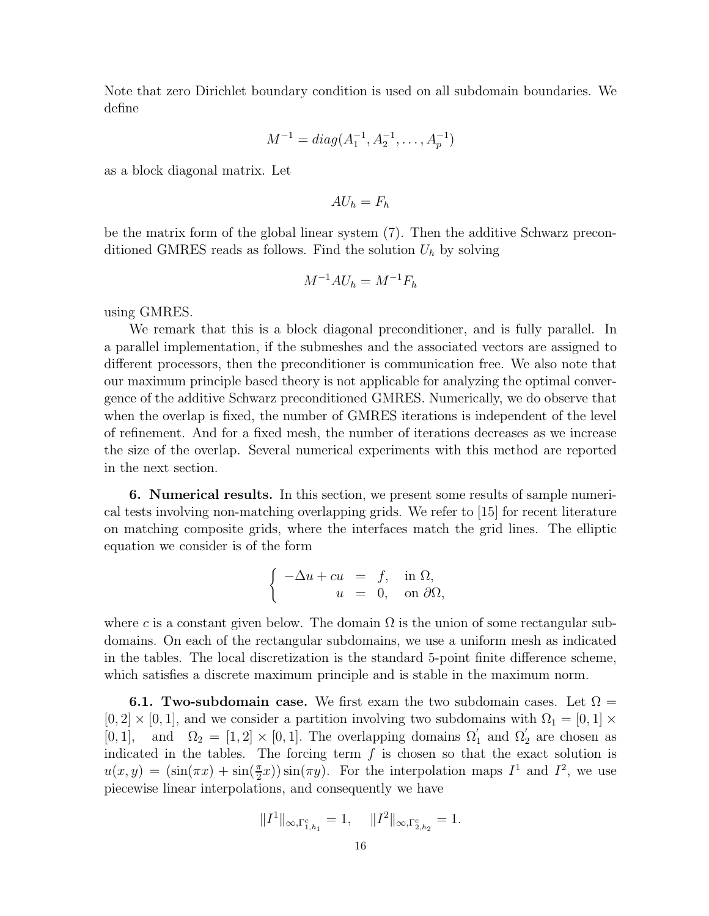Note that zero Dirichlet boundary condition is used on all subdomain boundaries. We define

$$
M^{-1} = diag(A_1^{-1}, A_2^{-1}, \dots, A_p^{-1})
$$

as a block diagonal matrix. Let

$$
AU_h = F_h
$$

be the matrix form of the global linear system (7). Then the additive Schwarz preconditioned GMRES reads as follows. Find the solution  $U_h$  by solving

$$
M^{-1}AU_h = M^{-1}F_h
$$

using GMRES.

We remark that this is a block diagonal preconditioner, and is fully parallel. In a parallel implementation, if the submeshes and the associated vectors are assigned to different processors, then the preconditioner is communication free. We also note that our maximum principle based theory is not applicable for analyzing the optimal convergence of the additive Schwarz preconditioned GMRES. Numerically, we do observe that when the overlap is fixed, the number of GMRES iterations is independent of the level of refinement. And for a fixed mesh, the number of iterations decreases as we increase the size of the overlap. Several numerical experiments with this method are reported in the next section.

**6. Numerical results.** In this section, we present some results of sample numerical tests involving non-matching overlapping grids. We refer to [15] for recent literature on matching composite grids, where the interfaces match the grid lines. The elliptic equation we consider is of the form

$$
\begin{cases}\n-\Delta u + cu &= f, \text{ in } \Omega, \\
u &= 0, \text{ on } \partial\Omega,\n\end{cases}
$$

where c is a constant given below. The domain  $\Omega$  is the union of some rectangular subdomains. On each of the rectangular subdomains, we use a uniform mesh as indicated in the tables. The local discretization is the standard 5-point finite difference scheme, which satisfies a discrete maximum principle and is stable in the maximum norm.

**6.1. Two-subdomain case.** We first exam the two subdomain cases. Let  $\Omega$  =  $[0, 2] \times [0, 1]$ , and we consider a partition involving two subdomains with  $\Omega_1 = [0, 1] \times$ [0, 1], and  $\Omega_2 = [1, 2] \times [0, 1]$ . The overlapping domains  $\Omega'_1$  and  $\Omega'_2$  are chosen as indicated in the tables. The forcing term  $f$  is chosen so that the exact solution is  $u(x, y) = (\sin(\pi x) + \sin(\frac{\pi}{2}x))\sin(\pi y)$ . For the interpolation maps  $I^1$  and  $I^2$ , we use piecewise linear interpolations, and consequently we have

$$
||I^1||_{\infty,\Gamma_{1,h_1}^c} = 1, \quad ||I^2||_{\infty,\Gamma_{2,h_2}^c} = 1.
$$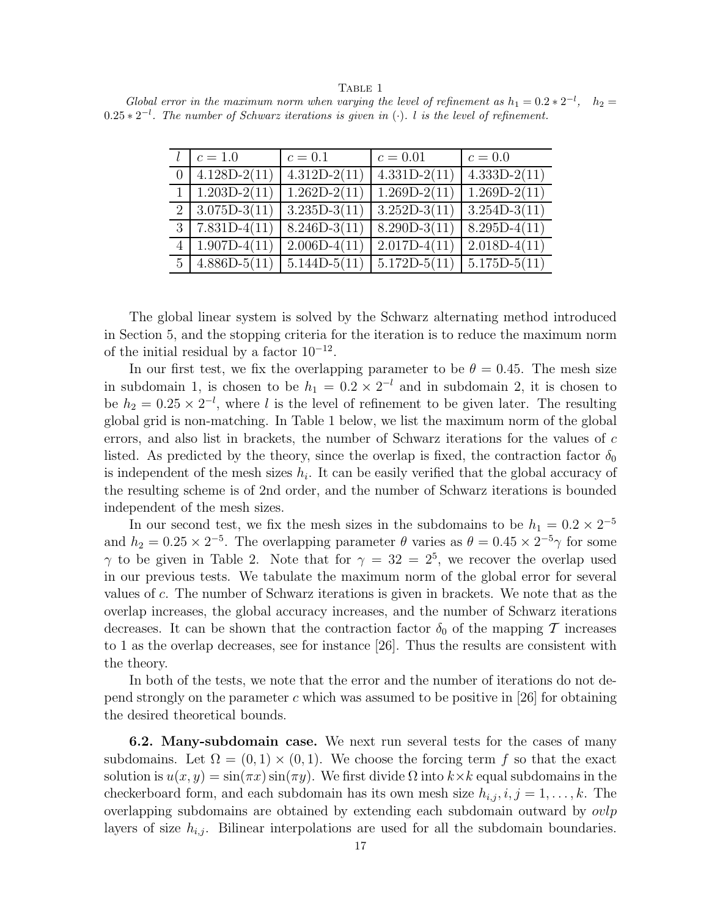#### TABLE 1

Global error in the maximum norm when varying the level of refinement as  $h_1 = 0.2 * 2^{-l}$ ,  $h_2 =$  $0.25 * 2^{-l}$ . The number of Schwarz iterations is given in (·). l is the level of refinement.

| $c=1.0$               | $c=0.1$        | $c = 0.01$     | $c=0.0$                     |
|-----------------------|----------------|----------------|-----------------------------|
| $4.128D-2(11)$        | $4.312D-2(11)$ | $4.331D-2(11)$ | $4.333D-2(11)$              |
| $1.203D-2(11)$        | $1.262D-2(11)$ | $1.269D-2(11)$ | $1.269D-2(11)$              |
| $2 \mid 3.075D-3(11)$ | $3.235D-3(11)$ | $3.252D-3(11)$ | $3.254D-3(11)$              |
| $3 \mid 7.831D-4(11)$ | $8.246D-3(11)$ | $8.290D-3(11)$ | $8.295D-4(11)$              |
| $4 1.907D-4(11)$      | $2.006D-4(11)$ | $2.017D-4(11)$ | $2.018D-4(11)$              |
| $5 4.886D-5(11)$      | $5.144D-5(11)$ | $5.172D-5(11)$ | $\overline{5.175D} - 5(11)$ |

The global linear system is solved by the Schwarz alternating method introduced in Section 5, and the stopping criteria for the iteration is to reduce the maximum norm of the initial residual by a factor  $10^{-12}$ .

In our first test, we fix the overlapping parameter to be  $\theta = 0.45$ . The mesh size in subdomain 1, is chosen to be  $h_1 = 0.2 \times 2^{-l}$  and in subdomain 2, it is chosen to be  $h_2 = 0.25 \times 2^{-l}$ , where l is the level of refinement to be given later. The resulting global grid is non-matching. In Table 1 below, we list the maximum norm of the global errors, and also list in brackets, the number of Schwarz iterations for the values of c listed. As predicted by the theory, since the overlap is fixed, the contraction factor  $\delta_0$ is independent of the mesh sizes  $h_i$ . It can be easily verified that the global accuracy of the resulting scheme is of 2nd order, and the number of Schwarz iterations is bounded independent of the mesh sizes.

In our second test, we fix the mesh sizes in the subdomains to be  $h_1 = 0.2 \times 2^{-5}$ and  $h_2 = 0.25 \times 2^{-5}$ . The overlapping parameter  $\theta$  varies as  $\theta = 0.45 \times 2^{-5} \gamma$  for some  $\gamma$  to be given in Table 2. Note that for  $\gamma = 32 = 2^5$ , we recover the overlap used in our previous tests. We tabulate the maximum norm of the global error for several values of c. The number of Schwarz iterations is given in brackets. We note that as the overlap increases, the global accuracy increases, and the number of Schwarz iterations decreases. It can be shown that the contraction factor  $\delta_0$  of the mapping T increases to 1 as the overlap decreases, see for instance [26]. Thus the results are consistent with the theory.

In both of the tests, we note that the error and the number of iterations do not depend strongly on the parameter c which was assumed to be positive in [26] for obtaining the desired theoretical bounds.

**6.2. Many-subdomain case.** We next run several tests for the cases of many subdomains. Let  $\Omega = (0,1) \times (0,1)$ . We choose the forcing term f so that the exact solution is  $u(x, y) = \sin(\pi x) \sin(\pi y)$ . We first divide  $\Omega$  into  $k \times k$  equal subdomains in the checkerboard form, and each subdomain has its own mesh size  $h_{i,j}, i, j = 1, \ldots, k$ . The overlapping subdomains are obtained by extending each subdomain outward by  $\omega \nu$ layers of size  $h_{i,j}$ . Bilinear interpolations are used for all the subdomain boundaries.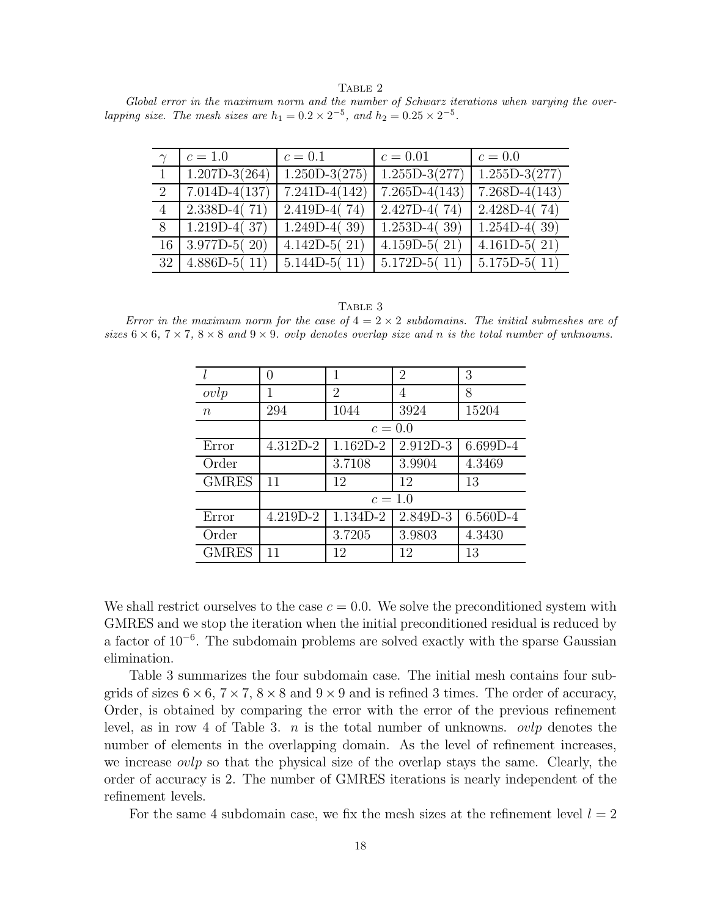TABLE 2

Global error in the maximum norm and the number of Schwarz iterations when varying the overlapping size. The mesh sizes are  $h_1 = 0.2 \times 2^{-5}$ , and  $h_2 = 0.25 \times 2^{-5}$ .

| $\gamma$       | $c = 1.0$              | $c=0.1$                    | $c = 0.01$      | $c=0.0$         |
|----------------|------------------------|----------------------------|-----------------|-----------------|
| $\overline{1}$ | $1.207D-3(264)$        | $1.250D-3(275)$            | $1.255D-3(277)$ | $1.255D-3(277)$ |
| 2              | $7.014D-4(137)$        | $7.241D-4(142)$            | $7.265D-4(143)$ | $7.268D-4(143)$ |
| 4              | $2.338D-4(71)$         | $2.419D-4(74)$             | $2.427D-4(74)$  | $2.428D-4(74)$  |
| 8              | 1.219D-4 $(37)$        | 1.249D-4 $(39)$            | $1.253D-4(39)$  | $1.254D-4(39)$  |
| 16             | $3.977D-5(20)$         | $4.142D-5(21)$             | 4.159D-5 $(21)$ | 4.161D-5 $(21)$ |
|                | $32 \mid 4.886D-5(11)$ | 5.144D-5 $(\overline{11})$ | $5.172D-5(11)$  | $5.175D-5(11)$  |

TABLE 3

Error in the maximum norm for the case of  $4=2\times 2$  subdomains. The initial submeshes are of sizes  $6 \times 6$ ,  $7 \times 7$ ,  $8 \times 8$  and  $9 \times 9$ . ovlp denotes overlap size and n is the total number of unknowns.

|                  |           | 1              | $\overline{2}$ | 3            |
|------------------|-----------|----------------|----------------|--------------|
| ovlp             |           | $\overline{2}$ | 4              | 8            |
| $\boldsymbol{n}$ | 294       | 1044           | 3924           | 15204        |
|                  |           |                | $c=0.0$        |              |
| Error            | 4.312D-2  | 1.162D-2       | 2.912D-3       | 6.699D-4     |
| Order            |           | 3.7108         | 3.9904         | 4.3469       |
| <b>GMRES</b>     | 11        | 12             | 12             | 13           |
|                  | $c = 1.0$ |                |                |              |
| Error            | 4.219D-2  | 1.134D-2       | 2.849D-3       | $6.560D - 4$ |
| Order            |           | 3.7205         | 3.9803         | 4.3430       |
| <b>GMRES</b>     | 11        | 12             | 12             | 13           |

We shall restrict ourselves to the case  $c = 0.0$ . We solve the preconditioned system with GMRES and we stop the iteration when the initial preconditioned residual is reduced by a factor of 10−<sup>6</sup>. The subdomain problems are solved exactly with the sparse Gaussian elimination.

Table 3 summarizes the four subdomain case. The initial mesh contains four subgrids of sizes  $6 \times 6$ ,  $7 \times 7$ ,  $8 \times 8$  and  $9 \times 9$  and is refined 3 times. The order of accuracy, Order, is obtained by comparing the error with the error of the previous refinement level, as in row 4 of Table 3. *n* is the total number of unknowns. *ovlp* denotes the number of elements in the overlapping domain. As the level of refinement increases, we increase  $\alpha v l p$  so that the physical size of the overlap stays the same. Clearly, the order of accuracy is 2. The number of GMRES iterations is nearly independent of the refinement levels.

For the same 4 subdomain case, we fix the mesh sizes at the refinement level  $l = 2$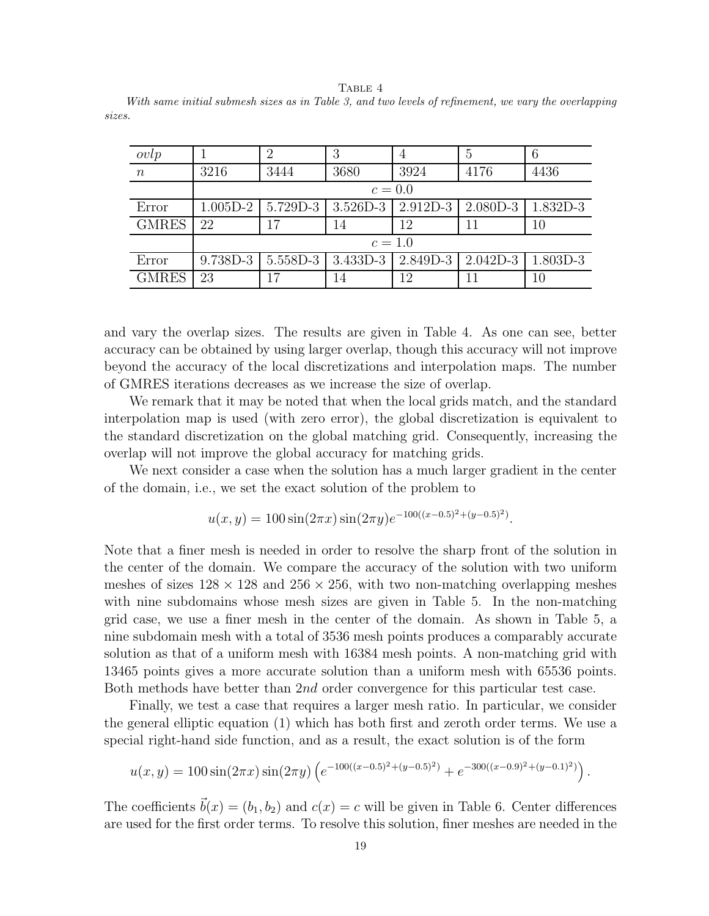Table 4

With same initial submesh sizes as in Table 3, and two levels of refinement, we vary the overlapping sizes.

| ovlp         |            | $\overline{2}$ |              | $\overline{4}$ | 5            | 6        |
|--------------|------------|----------------|--------------|----------------|--------------|----------|
| $\,n$        | 3216       | 3444           | 3680         | 3924           | 4176         | 4436     |
|              | $c=0.0$    |                |              |                |              |          |
| Error        | $1.005D-2$ | $5.729D - 3$   | $3.526D - 3$ | $2.912D - 3$   | $2.080D - 3$ | 1.832D-3 |
| <b>GMRES</b> | 22         | 17             | 14           | 12             | 11           | 10       |
|              | $c = 1.0$  |                |              |                |              |          |
| Error        | 9.738D-3   | 5.558D-3       | 3.433D-3     | 2.849D-3       | $2.042D - 3$ | 1.803D-3 |
| <b>GMRES</b> | 23         | 17             | 14           | 12             | 11           | 10       |

and vary the overlap sizes. The results are given in Table 4. As one can see, better accuracy can be obtained by using larger overlap, though this accuracy will not improve beyond the accuracy of the local discretizations and interpolation maps. The number of GMRES iterations decreases as we increase the size of overlap.

We remark that it may be noted that when the local grids match, and the standard interpolation map is used (with zero error), the global discretization is equivalent to the standard discretization on the global matching grid. Consequently, increasing the overlap will not improve the global accuracy for matching grids.

We next consider a case when the solution has a much larger gradient in the center of the domain, i.e., we set the exact solution of the problem to

$$
u(x, y) = 100 \sin(2\pi x) \sin(2\pi y) e^{-100((x - 0.5)^2 + (y - 0.5)^2)}.
$$

Note that a finer mesh is needed in order to resolve the sharp front of the solution in the center of the domain. We compare the accuracy of the solution with two uniform meshes of sizes  $128 \times 128$  and  $256 \times 256$ , with two non-matching overlapping meshes with nine subdomains whose mesh sizes are given in Table 5. In the non-matching grid case, we use a finer mesh in the center of the domain. As shown in Table 5, a nine subdomain mesh with a total of 3536 mesh points produces a comparably accurate solution as that of a uniform mesh with 16384 mesh points. A non-matching grid with 13465 points gives a more accurate solution than a uniform mesh with 65536 points. Both methods have better than 2nd order convergence for this particular test case.

Finally, we test a case that requires a larger mesh ratio. In particular, we consider the general elliptic equation (1) which has both first and zeroth order terms. We use a special right-hand side function, and as a result, the exact solution is of the form

$$
u(x,y) = 100\sin(2\pi x)\sin(2\pi y)\left(e^{-100((x-0.5)^2 + (y-0.5)^2)} + e^{-300((x-0.9)^2 + (y-0.1)^2)}\right).
$$

The coefficients  $\vec{b}(x)=(b_1, b_2)$  and  $c(x) = c$  will be given in Table 6. Center differences are used for the first order terms. To resolve this solution, finer meshes are needed in the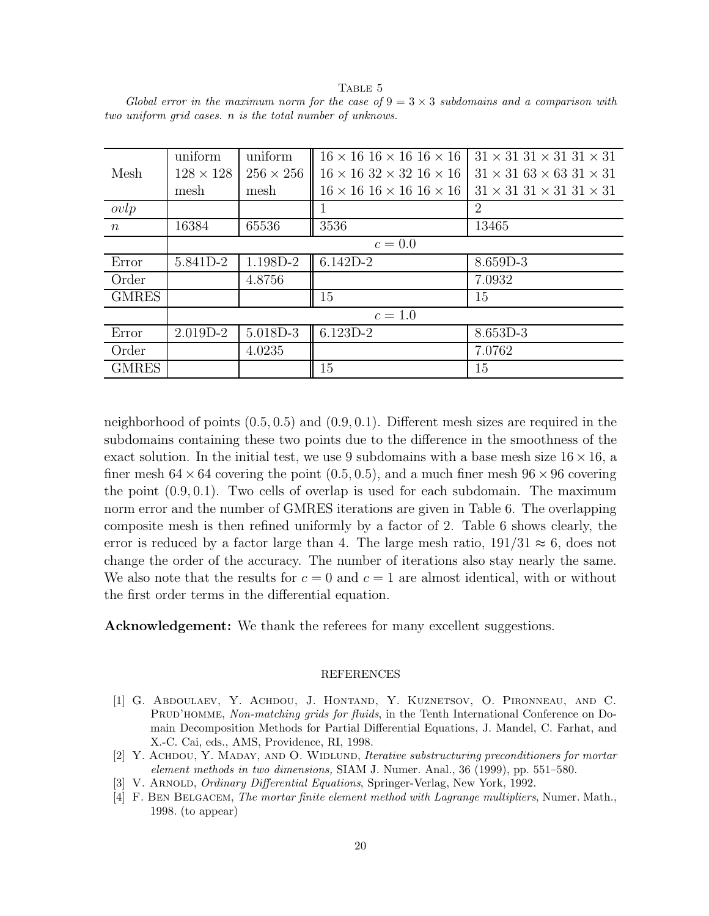#### TABLE 5

Global error in the maximum norm for the case of  $9=3 \times 3$  subdomains and a comparison with two uniform grid cases. n is the total number of unknows.

|              | uniform          | uniform          | $16 \times 16$ 16 $\times$ 16 16 $\times$ 16 | $31 \times 31$ $31 \times 31$ $31 \times 31$ |
|--------------|------------------|------------------|----------------------------------------------|----------------------------------------------|
| Mesh         | $128 \times 128$ | $256 \times 256$ | $16 \times 16$ 32 $\times$ 32 16 $\times$ 16 | $31 \times 31$ 63 $\times$ 63 31 $\times$ 31 |
|              | mesh             | mesh             | $16 \times 16$ 16 $\times$ 16 16 $\times$ 16 | $31 \times 31$ $31 \times 31$ $31 \times 31$ |
| ovlp         |                  |                  |                                              | $\overline{2}$                               |
| $\,n$        | 16384            | 65536            | 3536                                         | 13465                                        |
|              | $c=0.0$          |                  |                                              |                                              |
| Error        | 5.841D-2         | 1.198D-2         | $6.142D-2$                                   | 8.659D-3                                     |
| Order        |                  | 4.8756           |                                              | 7.0932                                       |
| <b>GMRES</b> |                  |                  | 15                                           | 15                                           |
|              | $c = 1.0$        |                  |                                              |                                              |
| Error        | 2.019D-2         | 5.018D-3         | $6.123D-2$                                   | 8.653D-3                                     |
| Order        |                  | 4.0235           |                                              | 7.0762                                       |
| <b>GMRES</b> |                  |                  | 15                                           | 15                                           |

neighborhood of points  $(0.5, 0.5)$  and  $(0.9, 0.1)$ . Different mesh sizes are required in the subdomains containing these two points due to the difference in the smoothness of the exact solution. In the initial test, we use 9 subdomains with a base mesh size  $16 \times 16$ , a finer mesh  $64 \times 64$  covering the point  $(0.5, 0.5)$ , and a much finer mesh  $96 \times 96$  covering the point  $(0.9, 0.1)$ . Two cells of overlap is used for each subdomain. The maximum norm error and the number of GMRES iterations are given in Table 6. The overlapping composite mesh is then refined uniformly by a factor of 2. Table 6 shows clearly, the error is reduced by a factor large than 4. The large mesh ratio,  $191/31 \approx 6$ , does not change the order of the accuracy. The number of iterations also stay nearly the same. We also note that the results for  $c = 0$  and  $c = 1$  are almost identical, with or without the first order terms in the differential equation.

**Acknowledgement:** We thank the referees for many excellent suggestions.

## REFERENCES

- [1] G. Abdoulaev, Y. Achdou, J. Hontand, Y. Kuznetsov, O. Pironneau, and C. PRUD'HOMME, Non-matching grids for fluids, in the Tenth International Conference on Domain Decomposition Methods for Partial Differential Equations, J. Mandel, C. Farhat, and X.-C. Cai, eds., AMS, Providence, RI, 1998.
- [2] Y. ACHDOU, Y. MADAY, AND O. WIDLUND, *Iterative substructuring preconditioners for mortar* element methods in two dimensions, SIAM J. Numer. Anal., 36 (1999), pp. 551–580.
- [3] V. ARNOLD, *Ordinary Differential Equations*, Springer-Verlag, New York, 1992.
- [4] F. BEN BELGACEM, The mortar finite element method with Lagrange multipliers, Numer. Math., 1998. (to appear)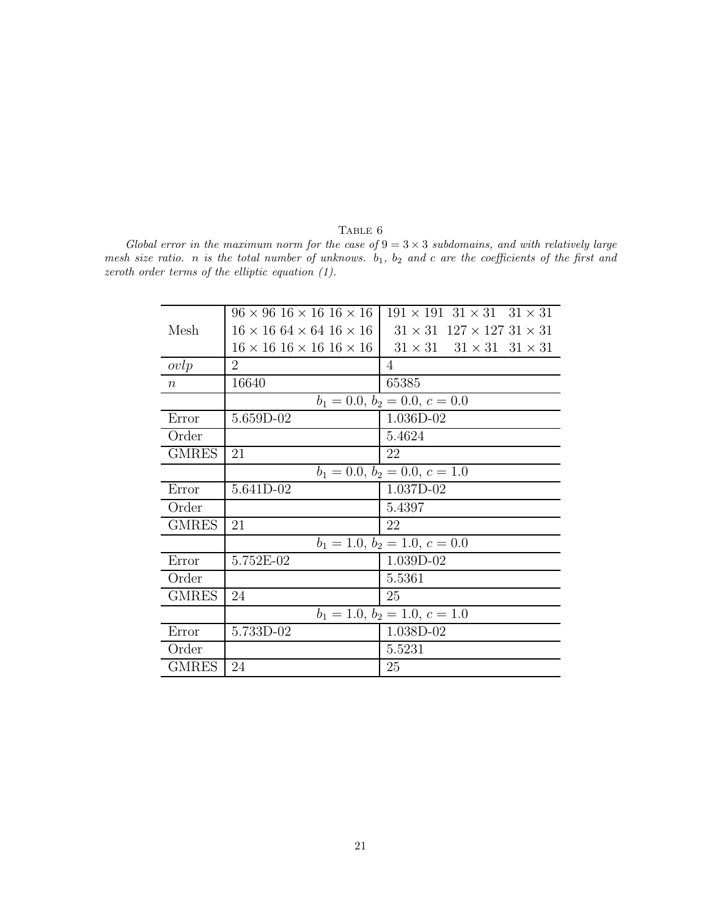TABLE  $6\,$ 

Global error in the maximum norm for the case of  $9=3 \times 3$  subdomains, and with relatively large mesh size ratio. n is the total number of unknows.  $b_1$ ,  $b_2$  and c are the coefficients of the first and zeroth order terms of the elliptic equation (1).

|                  | $96 \times 96$ 16 $\times$ 16 16 $\times$ 16 | $191 \times 191$ $31 \times 31$ $31 \times 31$ |
|------------------|----------------------------------------------|------------------------------------------------|
| Mesh             | $16 \times 16$ 64 $\times$ 64 16 $\times$ 16 | $31 \times 31$ $127 \times 127$ $31 \times 31$ |
|                  | $16 \times 16$ 16 $\times$ 16 16 $\times$ 16 | $31 \times 31$ $31 \times 31$ $31 \times 31$   |
| ovlp             | $\overline{2}$                               | 4                                              |
| $\boldsymbol{n}$ | 16640                                        | 65385                                          |
|                  |                                              | $b_1 = 0.0, b_2 = 0.0, c = 0.0$                |
| Error            | 5.659D-02                                    | 1.036D-02                                      |
| Order            |                                              | 5.4624                                         |
| <b>GMRES</b>     | 21                                           | 22                                             |
|                  |                                              | $b_1 = 0.0, b_2 = 0.0, c = 1.0$                |
| Error            | 5.641D-02                                    | 1.037D-02                                      |
| Order            |                                              | 5.4397                                         |
| <b>GMRES</b>     | 21                                           | 22                                             |
|                  |                                              | $b_1 = 1.0, b_2 = 1.0, c = 0.0$                |
| Error            | 5.752E-02                                    | 1.039D-02                                      |
| Order            |                                              | 5.5361                                         |
| <b>GMRES</b>     | 24                                           | 25                                             |
|                  |                                              | $b_1 = 1.0, b_2 = 1.0, c = 1.0$                |
| Error            | 5.733D-02                                    | 1.038D-02                                      |
| Order            |                                              | 5.5231                                         |
| <b>GMRES</b>     | 24                                           | 25                                             |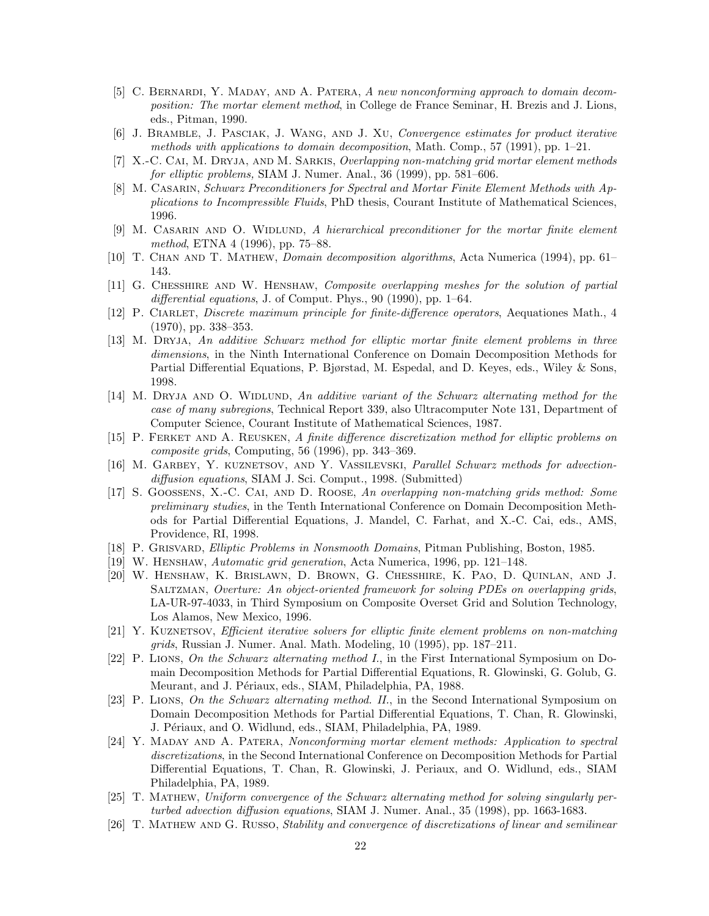- [5] C. BERNARDI, Y. MADAY, AND A. PATERA, A new nonconforming approach to domain decomposition: The mortar element method, in College de France Seminar, H. Brezis and J. Lions, eds., Pitman, 1990.
- [6] J. Bramble, J. Pasciak, J. Wang, and J. Xu, Convergence estimates for product iterative methods with applications to domain decomposition, Math. Comp., 57 (1991), pp. 1–21.
- [7] X.-C. Cai, M. Dryja, and M. Sarkis, Overlapping non-matching grid mortar element methods for elliptic problems, SIAM J. Numer. Anal., 36 (1999), pp. 581–606.
- [8] M. Casarin, Schwarz Preconditioners for Spectral and Mortar Finite Element Methods with Applications to Incompressible Fluids, PhD thesis, Courant Institute of Mathematical Sciences, 1996.
- [9] M. CASARIN AND O. WIDLUND, A hierarchical preconditioner for the mortar finite element method, ETNA 4 (1996), pp. 75–88.
- [10] T. Chan and T. Mathew, Domain decomposition algorithms, Acta Numerica (1994), pp. 61– 143.
- [11] G. Chesshire and W. Henshaw, Composite overlapping meshes for the solution of partial differential equations, J. of Comput. Phys., 90 (1990), pp. 1–64.
- [12] P. Ciarlet, Discrete maximum principle for finite-difference operators, Aequationes Math., 4 (1970), pp. 338–353.
- [13] M. Dryja, An additive Schwarz method for elliptic mortar finite element problems in three dimensions, in the Ninth International Conference on Domain Decomposition Methods for Partial Differential Equations, P. Bjørstad, M. Espedal, and D. Keyes, eds., Wiley & Sons, 1998.
- [14] M. DRYJA AND O. WIDLUND, An additive variant of the Schwarz alternating method for the case of many subregions, Technical Report 339, also Ultracomputer Note 131, Department of Computer Science, Courant Institute of Mathematical Sciences, 1987.
- [15] P. FERKET AND A. REUSKEN, A finite difference discretization method for elliptic problems on composite grids, Computing, 56 (1996), pp. 343–369.
- [16] M. GARBEY, Y. KUZNETSOV, AND Y. VASSILEVSKI, Parallel Schwarz methods for advectiondiffusion equations, SIAM J. Sci. Comput., 1998. (Submitted)
- [17] S. Goossens, X.-C. Cai, and D. Roose, An overlapping non-matching grids method: Some preliminary studies, in the Tenth International Conference on Domain Decomposition Methods for Partial Differential Equations, J. Mandel, C. Farhat, and X.-C. Cai, eds., AMS, Providence, RI, 1998.
- [18] P. GRISVARD, Elliptic Problems in Nonsmooth Domains, Pitman Publishing, Boston, 1985.
- [19] W. Henshaw, Automatic grid generation, Acta Numerica, 1996, pp. 121–148.
- [20] W. Henshaw, K. Brislawn, D. Brown, G. Chesshire, K. Pao, D. Quinlan, and J. Saltzman, Overture: An object-oriented framework for solving PDEs on overlapping grids, LA-UR-97-4033, in Third Symposium on Composite Overset Grid and Solution Technology, Los Alamos, New Mexico, 1996.
- [21] Y. KUZNETSOV, *Efficient iterative solvers for elliptic finite element problems on non-matching* grids, Russian J. Numer. Anal. Math. Modeling, 10 (1995), pp. 187–211.
- [22] P. Lions, On the Schwarz alternating method I., in the First International Symposium on Domain Decomposition Methods for Partial Differential Equations, R. Glowinski, G. Golub, G. Meurant, and J. Périaux, eds., SIAM, Philadelphia, PA, 1988.
- [23] P. Lions, On the Schwarz alternating method. II., in the Second International Symposium on Domain Decomposition Methods for Partial Differential Equations, T. Chan, R. Glowinski, J. Périaux, and O. Widlund, eds., SIAM, Philadelphia, PA, 1989.
- [24] Y. Maday and A. Patera, Nonconforming mortar element methods: Application to spectral discretizations, in the Second International Conference on Decomposition Methods for Partial Differential Equations, T. Chan, R. Glowinski, J. Periaux, and O. Widlund, eds., SIAM Philadelphia, PA, 1989.
- [25] T. Mathew, Uniform convergence of the Schwarz alternating method for solving singularly perturbed advection diffusion equations, SIAM J. Numer. Anal., 35 (1998), pp. 1663-1683.
- [26] T. Mathew and G. Russo, Stability and convergence of discretizations of linear and semilinear